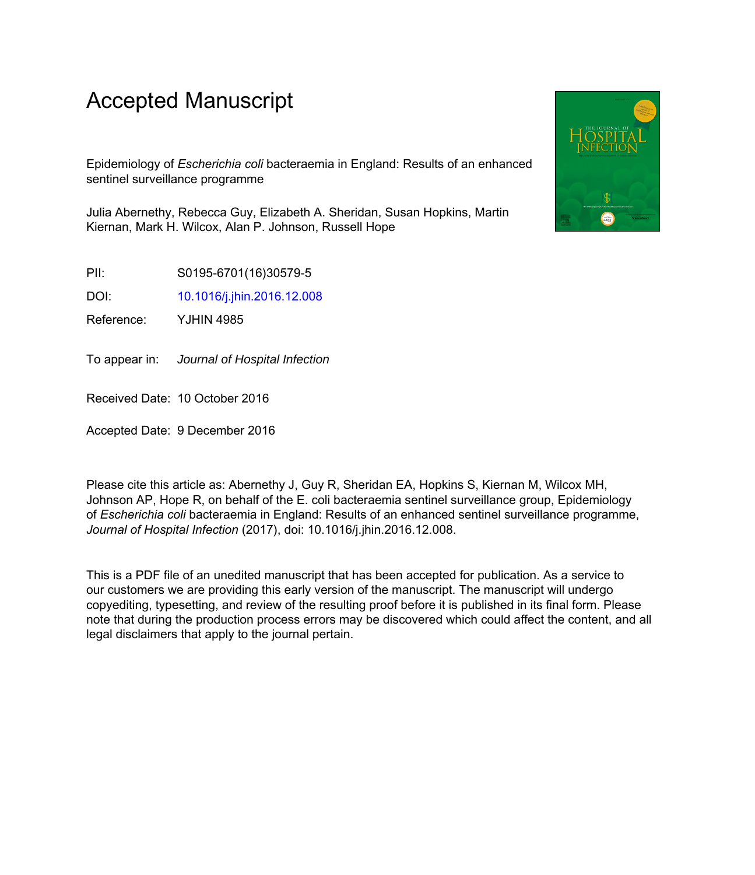# Accepted Manuscript

Epidemiology of *Escherichia coli* bacteraemia in England: Results of an enhanced sentinel surveillance programme

Julia Abernethy, Rebecca Guy, Elizabeth A. Sheridan, Susan Hopkins, Martin Kiernan, Mark H. Wilcox, Alan P. Johnson, Russell Hope

PII: S0195-6701(16)30579-5

DOI: [10.1016/j.jhin.2016.12.008](http://dx.doi.org/10.1016/j.jhin.2016.12.008)

Reference: YJHIN 4985

To appear in: Journal of Hospital Infection

Received Date: 10 October 2016

Accepted Date: 9 December 2016

Please cite this article as: Abernethy J, Guy R, Sheridan EA, Hopkins S, Kiernan M, Wilcox MH, Johnson AP, Hope R, on behalf of the E. coli bacteraemia sentinel surveillance group, Epidemiology of *Escherichia coli* bacteraemia in England: Results of an enhanced sentinel surveillance programme, *Journal of Hospital Infection* (2017), doi: 10.1016/j.jhin.2016.12.008.

This is a PDF file of an unedited manuscript that has been accepted for publication. As a service to our customers we are providing this early version of the manuscript. The manuscript will undergo copyediting, typesetting, and review of the resulting proof before it is published in its final form. Please note that during the production process errors may be discovered which could affect the content, and all legal disclaimers that apply to the journal pertain.

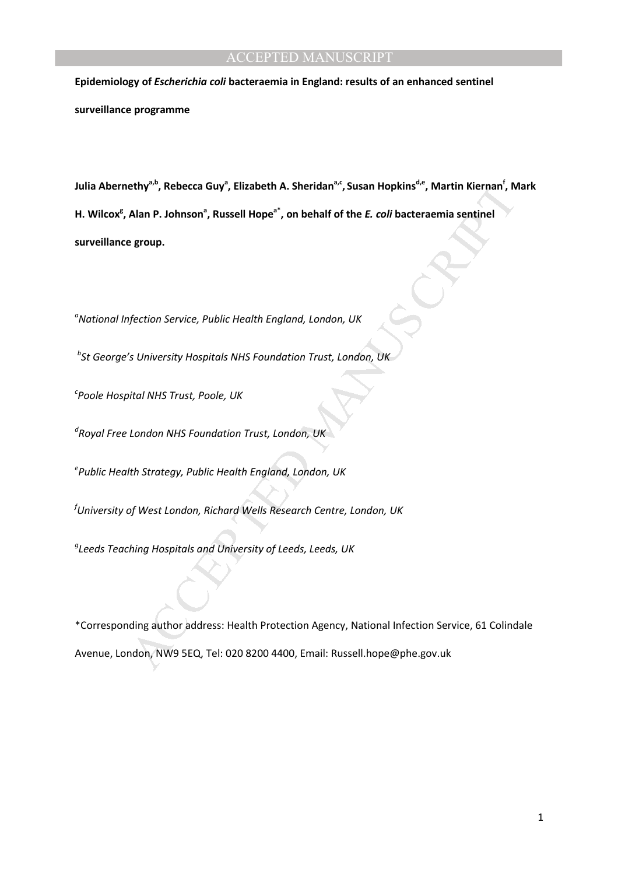**Epidemiology of** *Escherichia coli* **bacteraemia in England: results of an enhanced sentinel surveillance programme** 

ethy"", Rebecca Guy", Elizabeth A. Sheridan"", Susan Hopkins"", Martin Kiernan', M<br>Alan P. Johnson", Russell Hope", on behalf of the *E. coli* bacteraemia sentinel<br>group.<br>Man P. Johnson", Russell Hope", on behalf of the *E* **Julia Abernethya,b, Rebecca Guy<sup>a</sup> , Elizabeth A. Sheridana,c , Susan Hopkinsd,e, Martin Kiernan<sup>f</sup> , Mark**  H. Wilcox<sup>g</sup>, Alan P. Johnson<sup>a</sup>, Russell Hope<sup>a\*</sup>, on behalf of the *E. coli* bacteraemia sentinel **surveillance group.** 

*<sup>a</sup>National Infection Service, Public Health England, London, UK* 

*b St George's University Hospitals NHS Foundation Trust, London, UK* 

*c Poole Hospital NHS Trust, Poole, UK* 

*d Royal Free London NHS Foundation Trust, London, UK* 

*e Public Health Strategy, Public Health England, London, UK* 

*<sup>f</sup>University of West London, Richard Wells Research Centre, London, UK* 

*g Leeds Teaching Hospitals and University of Leeds, Leeds, UK* 

\*Corresponding author address: Health Protection Agency, National Infection Service, 61 Colindale Avenue, London, NW9 5EQ, Tel: 020 8200 4400, Email: Russell.hope@phe.gov.uk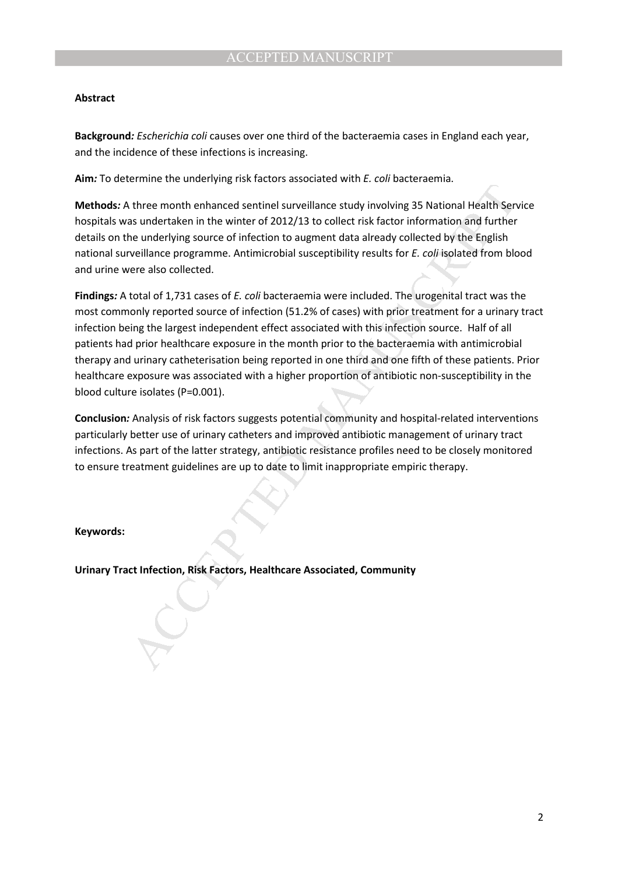### **Abstract**

**Background***: Escherichia coli* causes over one third of the bacteraemia cases in England each year, and the incidence of these infections is increasing.

**Aim***:* To determine the underlying risk factors associated with *E. coli* bacteraemia.

**Methods***:* A three month enhanced sentinel surveillance study involving 35 National Health Service hospitals was undertaken in the winter of 2012/13 to collect risk factor information and further details on the underlying source of infection to augment data already collected by the English national surveillance programme. Antimicrobial susceptibility results for *E. coli* isolated from blood and urine were also collected.

there month enhanced sentinel surveillance study involving 35 National Health Sen<br>as undertaken in the winter of 2012/13 to collect risk factor information and further<br>be underlying source of infection to augment data alr **Findings***:* A total of 1,731 cases of *E. coli* bacteraemia were included. The urogenital tract was the most commonly reported source of infection (51.2% of cases) with prior treatment for a urinary tract infection being the largest independent effect associated with this infection source. Half of all patients had prior healthcare exposure in the month prior to the bacteraemia with antimicrobial therapy and urinary catheterisation being reported in one third and one fifth of these patients. Prior healthcare exposure was associated with a higher proportion of antibiotic non-susceptibility in the blood culture isolates (P=0.001).

**Conclusion***:* Analysis of risk factors suggests potential community and hospital-related interventions particularly better use of urinary catheters and improved antibiotic management of urinary tract infections. As part of the latter strategy, antibiotic resistance profiles need to be closely monitored to ensure treatment guidelines are up to date to limit inappropriate empiric therapy.

**Keywords:** 

**Urinary Tract Infection, Risk Factors, Healthcare Associated, Community**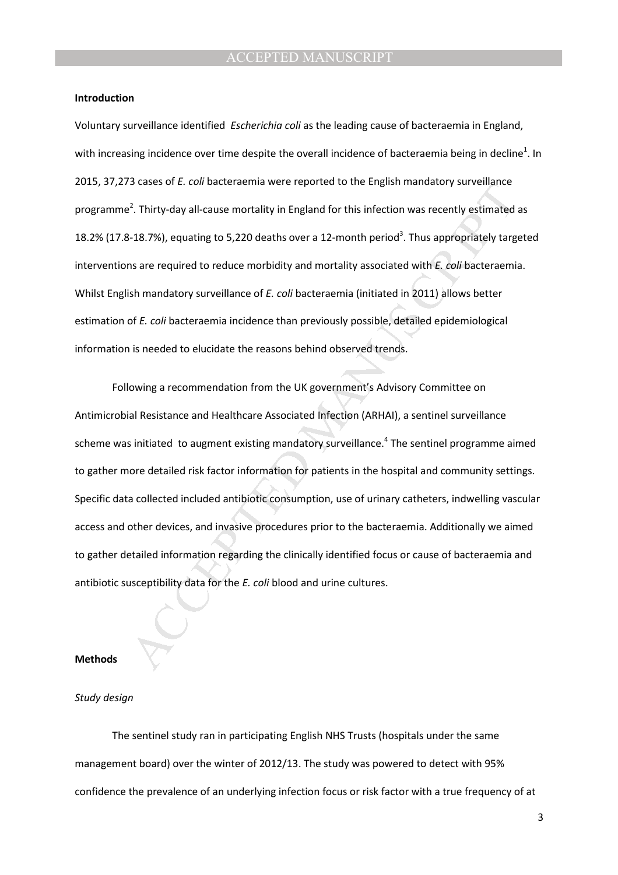#### **Introduction**

Voluntary surveillance identified *Escherichia coli* as the leading cause of bacteraemia in England, with increasing incidence over time despite the overall incidence of bacteraemia being in decline<sup>1</sup>. In 2015, 37,273 cases of *E. coli* bacteraemia were reported to the English mandatory surveillance programme<sup>2</sup>. Thirty-day all-cause mortality in England for this infection was recently estimated as 18.2% (17.8-18.7%), equating to 5,220 deaths over a 12-month period<sup>3</sup>. Thus appropriately targeted interventions are required to reduce morbidity and mortality associated with *E. coli* bacteraemia. Whilst English mandatory surveillance of *E. coli* bacteraemia (initiated in 2011) allows better estimation of *E. coli* bacteraemia incidence than previously possible, detailed epidemiological information is needed to elucidate the reasons behind observed trends.

3 cases or c. con vacteraemia were reported to the English manuatory survemance<br><sup>2</sup>. Thirty-day all-cause mortality in England for this infection was recently estimated<br>1-18.7%), equating to 5,220 deaths over a 12-month pe Following a recommendation from the UK government's Advisory Committee on Antimicrobial Resistance and Healthcare Associated Infection (ARHAI), a sentinel surveillance scheme was initiated to augment existing mandatory surveillance.<sup>4</sup> The sentinel programme aimed to gather more detailed risk factor information for patients in the hospital and community settings. Specific data collected included antibiotic consumption, use of urinary catheters, indwelling vascular access and other devices, and invasive procedures prior to the bacteraemia. Additionally we aimed to gather detailed information regarding the clinically identified focus or cause of bacteraemia and antibiotic susceptibility data for the *E. coli* blood and urine cultures.

#### **Methods**

#### *Study design*

The sentinel study ran in participating English NHS Trusts (hospitals under the same management board) over the winter of 2012/13. The study was powered to detect with 95% confidence the prevalence of an underlying infection focus or risk factor with a true frequency of at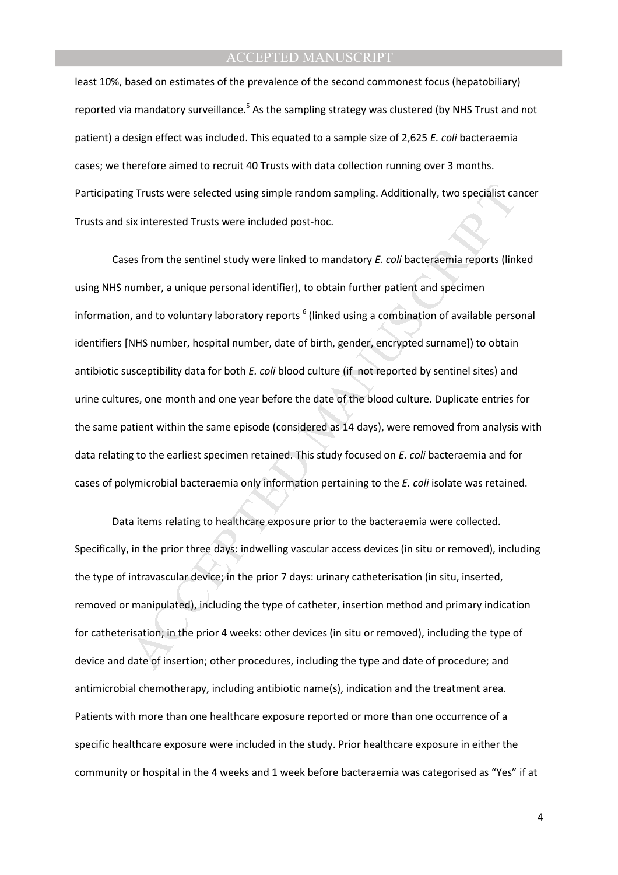least 10%, based on estimates of the prevalence of the second commonest focus (hepatobiliary) reported via mandatory surveillance.<sup>5</sup> As the sampling strategy was clustered (by NHS Trust and not patient) a design effect was included. This equated to a sample size of 2,625 *E. coli* bacteraemia cases; we therefore aimed to recruit 40 Trusts with data collection running over 3 months. Participating Trusts were selected using simple random sampling. Additionally, two specialist cancer Trusts and six interested Trusts were included post-hoc.

g Trusts were selected using simple random sampling. Additionally, two specialist ca<br>ix interested Trusts were included post-hoc.<br>es from the sentinel study were linked to mandatory *E. coli* bacteraemia reports (linl<br>umb Cases from the sentinel study were linked to mandatory *E. coli* bacteraemia reports (linked using NHS number, a unique personal identifier), to obtain further patient and specimen information, and to voluntary laboratory reports <sup>6</sup> (linked using a combination of available personal identifiers [NHS number, hospital number, date of birth, gender, encrypted surname]) to obtain antibiotic susceptibility data for both *E. coli* blood culture (if not reported by sentinel sites) and urine cultures, one month and one year before the date of the blood culture. Duplicate entries for the same patient within the same episode (considered as 14 days), were removed from analysis with data relating to the earliest specimen retained. This study focused on *E. coli* bacteraemia and for cases of polymicrobial bacteraemia only information pertaining to the *E. coli* isolate was retained.

Data items relating to healthcare exposure prior to the bacteraemia were collected. Specifically, in the prior three days: indwelling vascular access devices (in situ or removed), including the type of intravascular device; in the prior 7 days: urinary catheterisation (in situ, inserted, removed or manipulated), including the type of catheter, insertion method and primary indication for catheterisation; in the prior 4 weeks: other devices (in situ or removed), including the type of device and date of insertion; other procedures, including the type and date of procedure; and antimicrobial chemotherapy, including antibiotic name(s), indication and the treatment area. Patients with more than one healthcare exposure reported or more than one occurrence of a specific healthcare exposure were included in the study. Prior healthcare exposure in either the community or hospital in the 4 weeks and 1 week before bacteraemia was categorised as "Yes" if at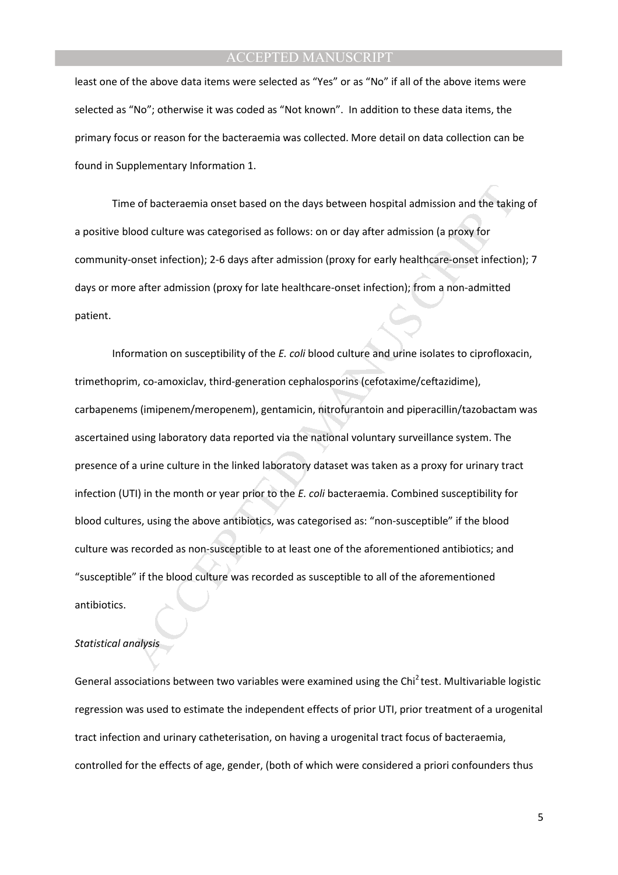least one of the above data items were selected as "Yes" or as "No" if all of the above items were selected as "No"; otherwise it was coded as "Not known". In addition to these data items, the primary focus or reason for the bacteraemia was collected. More detail on data collection can be found in Supplementary Information 1.

Time of bacteraemia onset based on the days between hospital admission and the taking of a positive blood culture was categorised as follows: on or day after admission (a proxy for community-onset infection); 2-6 days after admission (proxy for early healthcare-onset infection); 7 days or more after admission (proxy for late healthcare-onset infection); from a non-admitted patient.

e of bacteraemia onset based on the days between hospital admission and the takin<br>lood culture was categorised as follows: on or day after admission (a proxy for<br>onset infection); 2-6 days after admission (proxy for early Information on susceptibility of the *E. coli* blood culture and urine isolates to ciprofloxacin, trimethoprim, co-amoxiclav, third-generation cephalosporins (cefotaxime/ceftazidime), carbapenems (imipenem/meropenem), gentamicin, nitrofurantoin and piperacillin/tazobactam was ascertained using laboratory data reported via the national voluntary surveillance system. The presence of a urine culture in the linked laboratory dataset was taken as a proxy for urinary tract infection (UTI) in the month or year prior to the *E. coli* bacteraemia. Combined susceptibility for blood cultures, using the above antibiotics, was categorised as: "non-susceptible" if the blood culture was recorded as non-susceptible to at least one of the aforementioned antibiotics; and "susceptible" if the blood culture was recorded as susceptible to all of the aforementioned antibiotics.

#### *Statistical analysis*

General associations between two variables were examined using the Chi<sup>2</sup>test. Multivariable logistic regression was used to estimate the independent effects of prior UTI, prior treatment of a urogenital tract infection and urinary catheterisation, on having a urogenital tract focus of bacteraemia, controlled for the effects of age, gender, (both of which were considered a priori confounders thus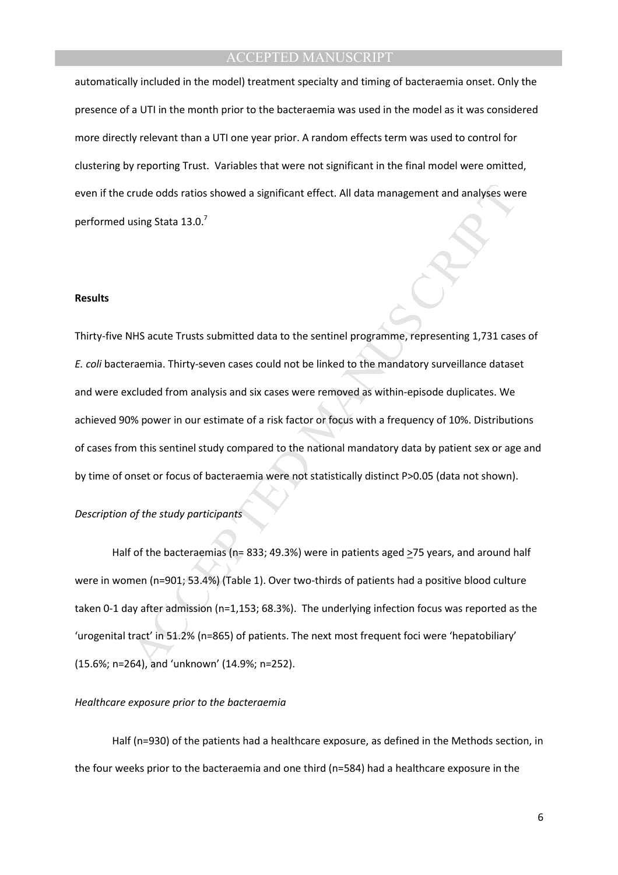automatically included in the model) treatment specialty and timing of bacteraemia onset. Only the presence of a UTI in the month prior to the bacteraemia was used in the model as it was considered more directly relevant than a UTI one year prior. A random effects term was used to control for clustering by reporting Trust. Variables that were not significant in the final model were omitted, even if the crude odds ratios showed a significant effect. All data management and analyses were performed using Stata 13.0.<sup>7</sup>

#### **Results**

crude odds ratios showed a significant effect. All data management and analyses we<br>using Stata 13.0.<sup>7</sup><br>MHS acute Trusts submitted data to the sentinel programme, representing 1,731 case<br>raemia. Thirty-seven cases could no Thirty-five NHS acute Trusts submitted data to the sentinel programme, representing 1,731 cases of *E. coli* bacteraemia. Thirty-seven cases could not be linked to the mandatory surveillance dataset and were excluded from analysis and six cases were removed as within-episode duplicates. We achieved 90% power in our estimate of a risk factor or focus with a frequency of 10%. Distributions of cases from this sentinel study compared to the national mandatory data by patient sex or age and by time of onset or focus of bacteraemia were not statistically distinct P>0.05 (data not shown).

### *Description of the study participants*

Half of the bacteraemias (n= 833; 49.3%) were in patients aged >75 years, and around half were in women (n=901; 53.4%) (Table 1). Over two-thirds of patients had a positive blood culture taken 0-1 day after admission (n=1,153; 68.3%). The underlying infection focus was reported as the 'urogenital tract' in 51.2% (n=865) of patients. The next most frequent foci were 'hepatobiliary' (15.6%; n=264), and 'unknown' (14.9%; n=252).

#### *Healthcare exposure prior to the bacteraemia*

Half (n=930) of the patients had a healthcare exposure, as defined in the Methods section, in the four weeks prior to the bacteraemia and one third (n=584) had a healthcare exposure in the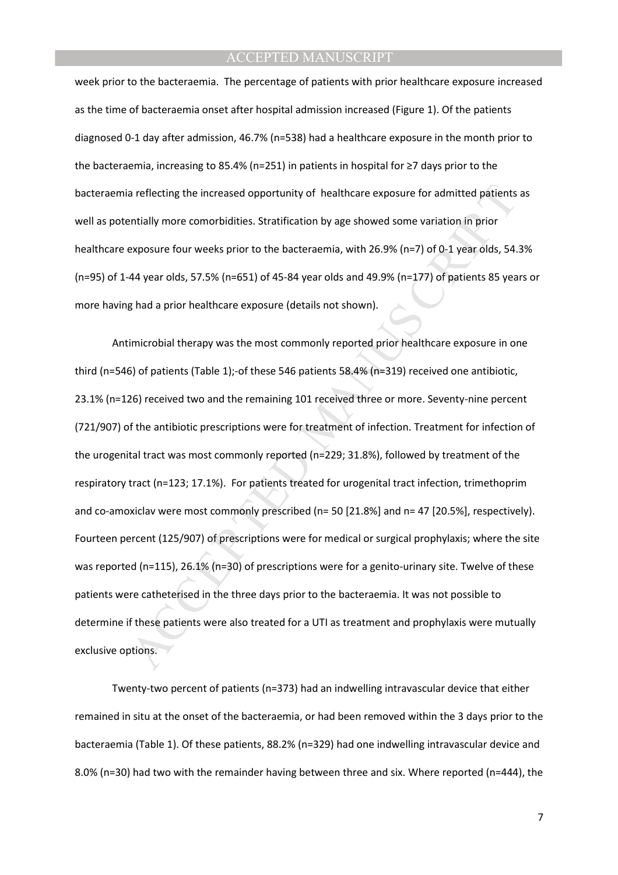week prior to the bacteraemia. The percentage of patients with prior healthcare exposure increased as the time of bacteraemia onset after hospital admission increased (Figure 1). Of the patients diagnosed 0-1 day after admission, 46.7% (n=538) had a healthcare exposure in the month prior to the bacteraemia, increasing to 85.4% (n=251) in patients in hospital for ≥7 days prior to the bacteraemia reflecting the increased opportunity of healthcare exposure for admitted patients as well as potentially more comorbidities. Stratification by age showed some variation in prior healthcare exposure four weeks prior to the bacteraemia, with 26.9% (n=7) of 0-1 year olds, 54.3% (n=95) of 1-44 year olds, 57.5% (n=651) of 45-84 year olds and 49.9% (n=177) of patients 85 years or more having had a prior healthcare exposure (details not shown).

a reflecting the increased opportunity of healthcare exposure for admitted patients<br>entially more comorbidities. Stratification by age showed some variation in prior<br>exposure four weeks prior to the bacteraemia, with 26.9% Antimicrobial therapy was the most commonly reported prior healthcare exposure in one third (n=546) of patients (Table 1);-of these 546 patients 58.4% (n=319) received one antibiotic, 23.1% (n=126) received two and the remaining 101 received three or more. Seventy-nine percent (721/907) of the antibiotic prescriptions were for treatment of infection. Treatment for infection of the urogenital tract was most commonly reported (n=229; 31.8%), followed by treatment of the respiratory tract (n=123; 17.1%). For patients treated for urogenital tract infection, trimethoprim and co-amoxiclav were most commonly prescribed (n= 50 [21.8%] and n= 47 [20.5%], respectively). Fourteen percent (125/907) of prescriptions were for medical or surgical prophylaxis; where the site was reported (n=115), 26.1% (n=30) of prescriptions were for a genito-urinary site. Twelve of these patients were catheterised in the three days prior to the bacteraemia. It was not possible to determine if these patients were also treated for a UTI as treatment and prophylaxis were mutually exclusive options.

Twenty-two percent of patients (n=373) had an indwelling intravascular device that either remained in situ at the onset of the bacteraemia, or had been removed within the 3 days prior to the bacteraemia (Table 1). Of these patients, 88.2% (n=329) had one indwelling intravascular device and 8.0% (n=30) had two with the remainder having between three and six. Where reported (n=444), the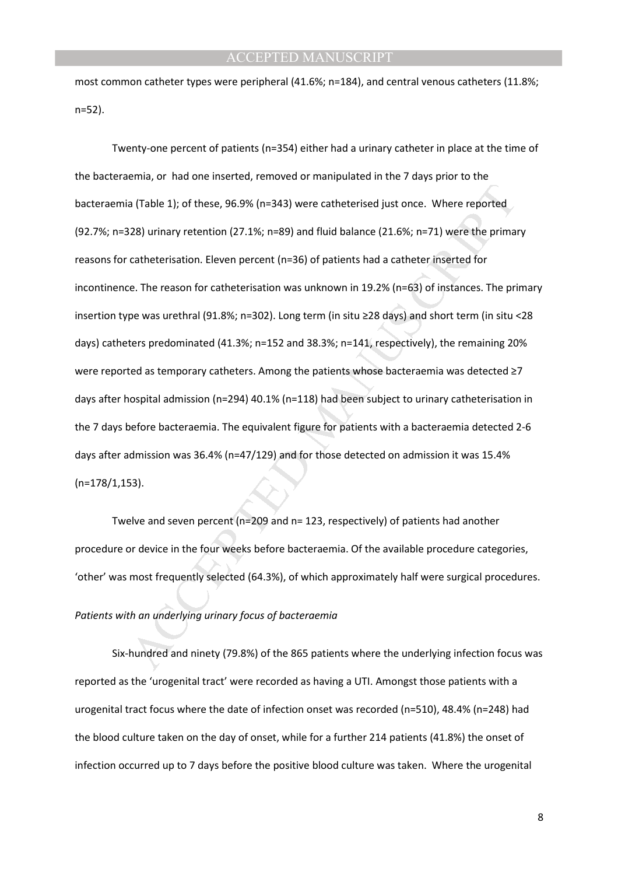most common catheter types were peripheral (41.6%; n=184), and central venous catheters (11.8%; n=52).

a (Table 1); of these, 96.9% (n=343) were catheterised just once. Where reported<br>28) urinary retention (27.1%; n=89) and fluid balance (21.6%; n=71) were the primar<br>catheterisation. Eleven percent (n=36) of patients had a Twenty-one percent of patients (n=354) either had a urinary catheter in place at the time of the bacteraemia, or had one inserted, removed or manipulated in the 7 days prior to the bacteraemia (Table 1); of these, 96.9% (n=343) were catheterised just once. Where reported (92.7%; n=328) urinary retention (27.1%; n=89) and fluid balance (21.6%; n=71) were the primary reasons for catheterisation. Eleven percent (n=36) of patients had a catheter inserted for incontinence. The reason for catheterisation was unknown in 19.2% (n=63) of instances. The primary insertion type was urethral (91.8%; n=302). Long term (in situ ≥28 days) and short term (in situ <28 days) catheters predominated (41.3%; n=152 and 38.3%; n=141, respectively), the remaining 20% were reported as temporary catheters. Among the patients whose bacteraemia was detected ≥7 days after hospital admission (n=294) 40.1% (n=118) had been subject to urinary catheterisation in the 7 days before bacteraemia. The equivalent figure for patients with a bacteraemia detected 2-6 days after admission was 36.4% (n=47/129) and for those detected on admission it was 15.4% (n=178/1,153).

Twelve and seven percent (n=209 and n= 123, respectively) of patients had another procedure or device in the four weeks before bacteraemia. Of the available procedure categories, 'other' was most frequently selected (64.3%), of which approximately half were surgical procedures.

# *Patients with an underlying urinary focus of bacteraemia*

Six-hundred and ninety (79.8%) of the 865 patients where the underlying infection focus was reported as the 'urogenital tract' were recorded as having a UTI. Amongst those patients with a urogenital tract focus where the date of infection onset was recorded (n=510), 48.4% (n=248) had the blood culture taken on the day of onset, while for a further 214 patients (41.8%) the onset of infection occurred up to 7 days before the positive blood culture was taken. Where the urogenital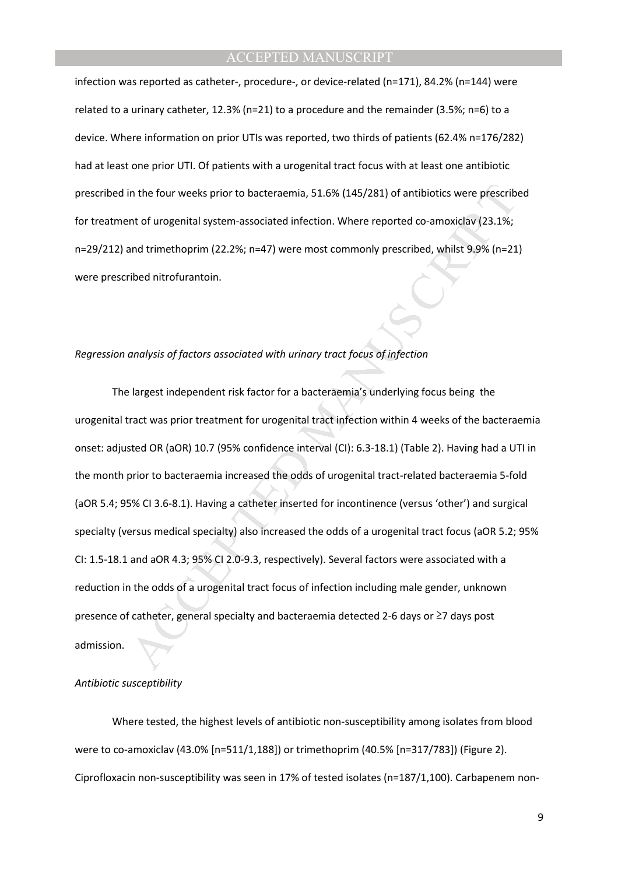infection was reported as catheter-, procedure-, or device-related (n=171), 84.2% (n=144) were related to a urinary catheter, 12.3% (n=21) to a procedure and the remainder (3.5%; n=6) to a device. Where information on prior UTIs was reported, two thirds of patients (62.4% n=176/282) had at least one prior UTI. Of patients with a urogenital tract focus with at least one antibiotic prescribed in the four weeks prior to bacteraemia, 51.6% (145/281) of antibiotics were prescribed for treatment of urogenital system-associated infection. Where reported co-amoxiclav (23.1%; n=29/212) and trimethoprim (22.2%; n=47) were most commonly prescribed, whilst 9.9% (n=21) were prescribed nitrofurantoin.

#### *Regression analysis of factors associated with urinary tract focus of infection*

in the four weeks prior to bacteraemia, 51.6% (145/281) of antibiotics were prescribent of urogenital system-associated infection. Where reported co-amoxiclav (23.1%;<br>and trimethoprim (22.2%; n=47) were most commonly presc The largest independent risk factor for a bacteraemia's underlying focus being the urogenital tract was prior treatment for urogenital tract infection within 4 weeks of the bacteraemia onset: adjusted OR (aOR) 10.7 (95% confidence interval (CI): 6.3-18.1) (Table 2). Having had a UTI in the month prior to bacteraemia increased the odds of urogenital tract-related bacteraemia 5-fold (aOR 5.4; 95% CI 3.6-8.1). Having a catheter inserted for incontinence (versus 'other') and surgical specialty (versus medical specialty) also increased the odds of a urogenital tract focus (aOR 5.2; 95% CI: 1.5-18.1 and aOR 4.3; 95% CI 2.0-9.3, respectively). Several factors were associated with a reduction in the odds of a urogenital tract focus of infection including male gender, unknown presence of catheter, general specialty and bacteraemia detected 2-6 days or ≥7 days post admission.

#### *Antibiotic susceptibility*

Where tested, the highest levels of antibiotic non-susceptibility among isolates from blood were to co-amoxiclav (43.0% [n=511/1,188]) or trimethoprim (40.5% [n=317/783]) (Figure 2). Ciprofloxacin non-susceptibility was seen in 17% of tested isolates (n=187/1,100). Carbapenem non-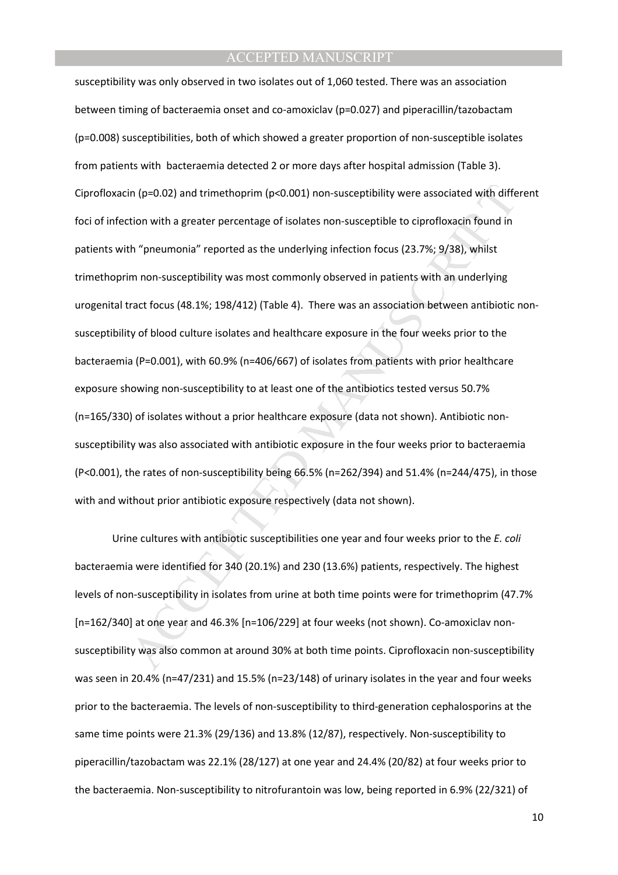in (p=0.02) and trimethoprim (p<0.001) non-susceptibility were associated with different more than a preader percentage of isolates non-susceptibile to ciprofloxacin found in<br>th "pneumonia" reported as the underlying infe susceptibility was only observed in two isolates out of 1,060 tested. There was an association between timing of bacteraemia onset and co-amoxiclav (p=0.027) and piperacillin/tazobactam (p=0.008) susceptibilities, both of which showed a greater proportion of non-susceptible isolates from patients with bacteraemia detected 2 or more days after hospital admission (Table 3). Ciprofloxacin (p=0.02) and trimethoprim (p<0.001) non-susceptibility were associated with different foci of infection with a greater percentage of isolates non-susceptible to ciprofloxacin found in patients with "pneumonia" reported as the underlying infection focus (23.7%; 9/38), whilst trimethoprim non-susceptibility was most commonly observed in patients with an underlying urogenital tract focus (48.1%; 198/412) (Table 4). There was an association between antibiotic nonsusceptibility of blood culture isolates and healthcare exposure in the four weeks prior to the bacteraemia (P=0.001), with 60.9% (n=406/667) of isolates from patients with prior healthcare exposure showing non-susceptibility to at least one of the antibiotics tested versus 50.7% (n=165/330) of isolates without a prior healthcare exposure (data not shown). Antibiotic nonsusceptibility was also associated with antibiotic exposure in the four weeks prior to bacteraemia (P<0.001), the rates of non-susceptibility being 66.5% (n=262/394) and 51.4% (n=244/475), in those with and without prior antibiotic exposure respectively (data not shown).

Urine cultures with antibiotic susceptibilities one year and four weeks prior to the *E. coli* bacteraemia were identified for 340 (20.1%) and 230 (13.6%) patients, respectively. The highest levels of non-susceptibility in isolates from urine at both time points were for trimethoprim (47.7% [n=162/340] at one year and 46.3% [n=106/229] at four weeks (not shown). Co-amoxiclav nonsusceptibility was also common at around 30% at both time points. Ciprofloxacin non-susceptibility was seen in 20.4% (n=47/231) and 15.5% (n=23/148) of urinary isolates in the year and four weeks prior to the bacteraemia. The levels of non-susceptibility to third-generation cephalosporins at the same time points were 21.3% (29/136) and 13.8% (12/87), respectively. Non-susceptibility to piperacillin/tazobactam was 22.1% (28/127) at one year and 24.4% (20/82) at four weeks prior to the bacteraemia. Non-susceptibility to nitrofurantoin was low, being reported in 6.9% (22/321) of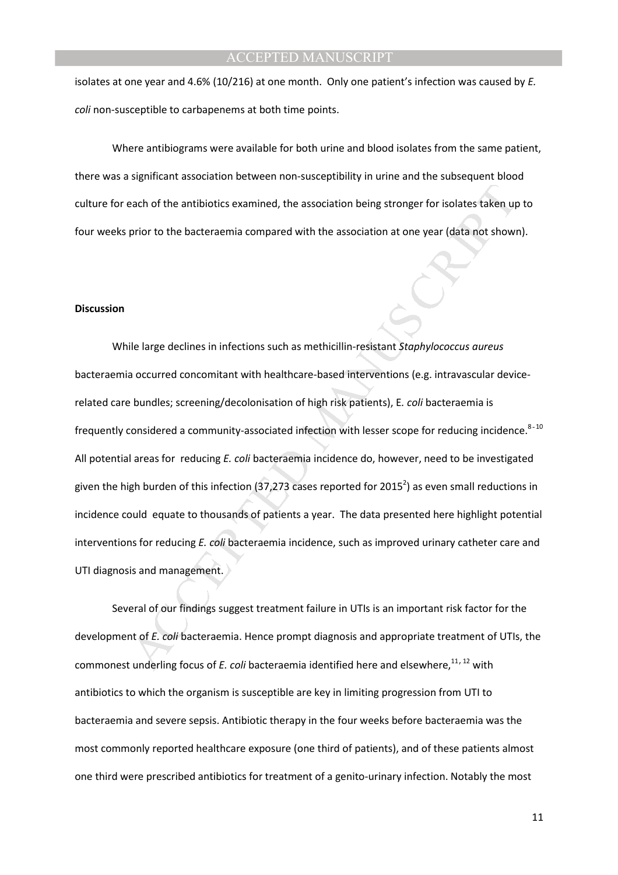isolates at one year and 4.6% (10/216) at one month. Only one patient's infection was caused by *E. coli* non-susceptible to carbapenems at both time points.

Where antibiograms were available for both urine and blood isolates from the same patient, there was a significant association between non-susceptibility in urine and the subsequent blood culture for each of the antibiotics examined, the association being stronger for isolates taken up to four weeks prior to the bacteraemia compared with the association at one year (data not shown).

#### **Discussion**

each of the antibiotics examined, the association being stronger for isolates taken up<br>prior to the bacteraemia compared with the association at one year (data not shown<br>prior to the bacteraemia compared with the associati While large declines in infections such as methicillin-resistant *Staphylococcus aureus* bacteraemia occurred concomitant with healthcare-based interventions (e.g. intravascular devicerelated care bundles; screening/decolonisation of high risk patients), E*. coli* bacteraemia is frequently considered a community-associated infection with lesser scope for reducing incidence. $8-10$ All potential areas for reducing *E. coli* bacteraemia incidence do, however, need to be investigated given the high burden of this infection (37,273 cases reported for 2015<sup>2</sup>) as even small reductions in incidence could equate to thousands of patients a year. The data presented here highlight potential interventions for reducing *E. coli* bacteraemia incidence, such as improved urinary catheter care and UTI diagnosis and management.

Several of our findings suggest treatment failure in UTIs is an important risk factor for the development of *E. coli* bacteraemia. Hence prompt diagnosis and appropriate treatment of UTIs, the commonest underling focus of *E. coli* bacteraemia identified here and elsewhere,<sup>11,12</sup> with antibiotics to which the organism is susceptible are key in limiting progression from UTI to bacteraemia and severe sepsis. Antibiotic therapy in the four weeks before bacteraemia was the most commonly reported healthcare exposure (one third of patients), and of these patients almost one third were prescribed antibiotics for treatment of a genito-urinary infection. Notably the most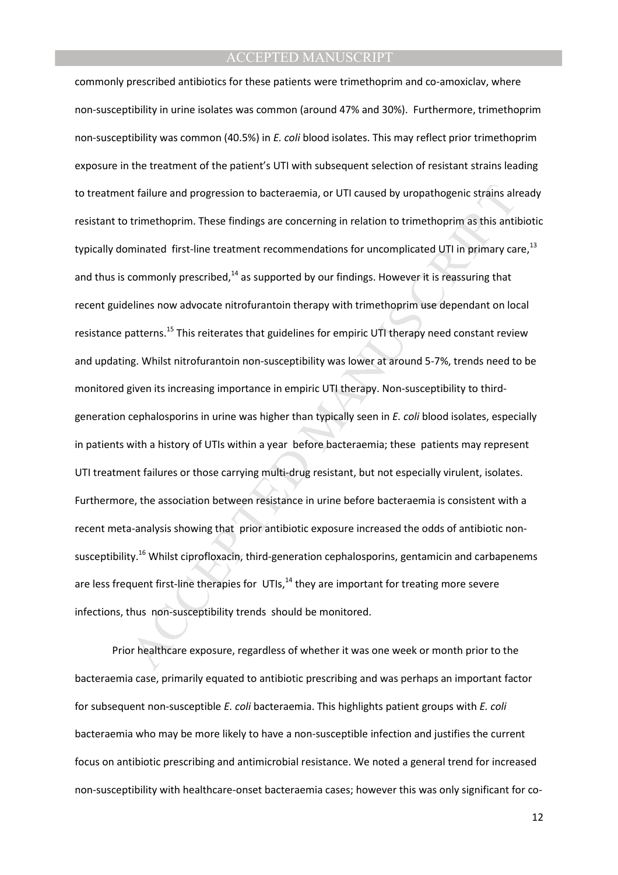the fillure and progression to bacteraemia, or UTI caused by uropathogenic strains alt<br>trimethoprim. These findings are concerning in relation to trimethoprim as this anti<br>minated first-line treatment recommendations for u commonly prescribed antibiotics for these patients were trimethoprim and co-amoxiclav, where non-susceptibility in urine isolates was common (around 47% and 30%). Furthermore, trimethoprim non-susceptibility was common (40.5%) in *E. coli* blood isolates. This may reflect prior trimethoprim exposure in the treatment of the patient's UTI with subsequent selection of resistant strains leading to treatment failure and progression to bacteraemia, or UTI caused by uropathogenic strains already resistant to trimethoprim. These findings are concerning in relation to trimethoprim as this antibiotic typically dominated first-line treatment recommendations for uncomplicated UTI in primary care,<sup>13</sup> and thus is commonly prescribed, $^{14}$  as supported by our findings. However it is reassuring that recent guidelines now advocate nitrofurantoin therapy with trimethoprim use dependant on local resistance patterns.<sup>15</sup> This reiterates that guidelines for empiric UTI therapy need constant review and updating. Whilst nitrofurantoin non-susceptibility was lower at around 5-7%, trends need to be monitored given its increasing importance in empiric UTI therapy. Non-susceptibility to thirdgeneration cephalosporins in urine was higher than typically seen in *E. coli* blood isolates, especially in patients with a history of UTIs within a year before bacteraemia; these patients may represent UTI treatment failures or those carrying multi-drug resistant, but not especially virulent, isolates. Furthermore, the association between resistance in urine before bacteraemia is consistent with a recent meta-analysis showing that prior antibiotic exposure increased the odds of antibiotic nonsusceptibility.<sup>16</sup> Whilst ciprofloxacin, third-generation cephalosporins, gentamicin and carbapenems are less frequent first-line therapies for  $UTIs$ ,<sup>14</sup> they are important for treating more severe infections, thus non-susceptibility trends should be monitored.

Prior healthcare exposure, regardless of whether it was one week or month prior to the bacteraemia case, primarily equated to antibiotic prescribing and was perhaps an important factor for subsequent non-susceptible *E. coli* bacteraemia. This highlights patient groups with *E. coli* bacteraemia who may be more likely to have a non-susceptible infection and justifies the current focus on antibiotic prescribing and antimicrobial resistance. We noted a general trend for increased non-susceptibility with healthcare-onset bacteraemia cases; however this was only significant for co-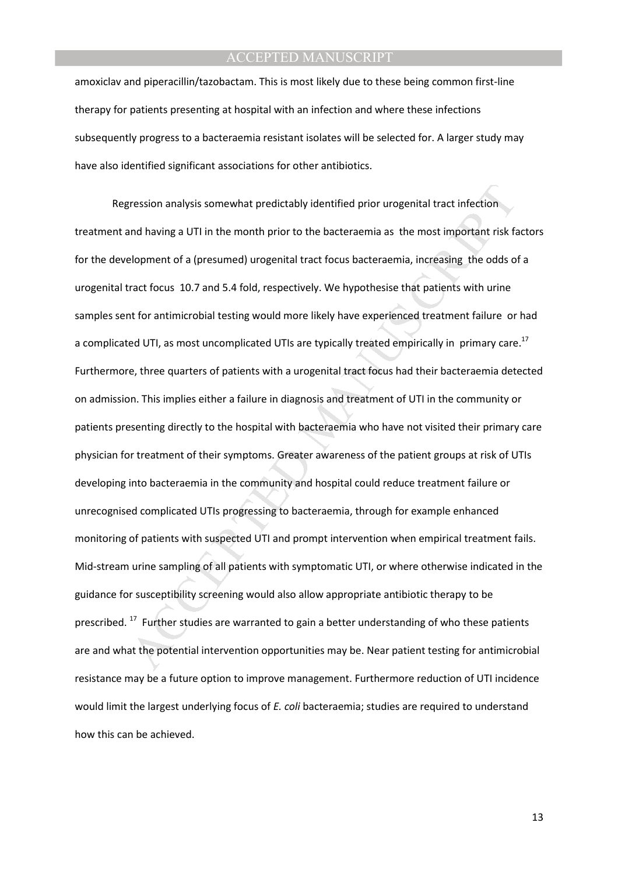amoxiclav and piperacillin/tazobactam. This is most likely due to these being common first-line therapy for patients presenting at hospital with an infection and where these infections subsequently progress to a bacteraemia resistant isolates will be selected for. A larger study may have also identified significant associations for other antibiotics.

ression analysis somewhat predictably identified prior urogenital tract infection<br>and having a UTI in the month prior to the bacteraemia as the most important risk fa<br>slopment of a (presumed) urogenital tract focus bactera Regression analysis somewhat predictably identified prior urogenital tract infection treatment and having a UTI in the month prior to the bacteraemia as the most important risk factors for the development of a (presumed) urogenital tract focus bacteraemia, increasing the odds of a urogenital tract focus 10.7 and 5.4 fold, respectively. We hypothesise that patients with urine samples sent for antimicrobial testing would more likely have experienced treatment failure or had a complicated UTI, as most uncomplicated UTIs are typically treated empirically in primary care.<sup>17</sup> Furthermore, three quarters of patients with a urogenital tract focus had their bacteraemia detected on admission. This implies either a failure in diagnosis and treatment of UTI in the community or patients presenting directly to the hospital with bacteraemia who have not visited their primary care physician for treatment of their symptoms. Greater awareness of the patient groups at risk of UTIs developing into bacteraemia in the community and hospital could reduce treatment failure or unrecognised complicated UTIs progressing to bacteraemia, through for example enhanced monitoring of patients with suspected UTI and prompt intervention when empirical treatment fails. Mid-stream urine sampling of all patients with symptomatic UTI, or where otherwise indicated in the guidance for susceptibility screening would also allow appropriate antibiotic therapy to be prescribed.  $17$  Further studies are warranted to gain a better understanding of who these patients are and what the potential intervention opportunities may be. Near patient testing for antimicrobial resistance may be a future option to improve management. Furthermore reduction of UTI incidence would limit the largest underlying focus of *E. coli* bacteraemia; studies are required to understand how this can be achieved.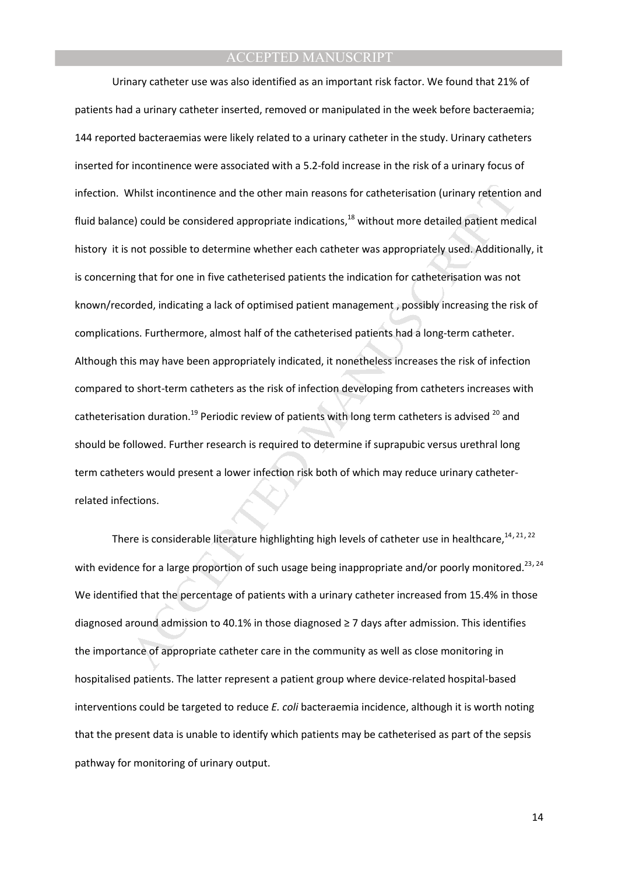Whilst incontinence and the other main reasons for catheterisation (urinary retention)<br>
e) could be considered appropriate indications,<sup>18</sup> without more detailed patient mechosysible to determine whether each catheter was Urinary catheter use was also identified as an important risk factor. We found that 21% of patients had a urinary catheter inserted, removed or manipulated in the week before bacteraemia; 144 reported bacteraemias were likely related to a urinary catheter in the study. Urinary catheters inserted for incontinence were associated with a 5.2-fold increase in the risk of a urinary focus of infection. Whilst incontinence and the other main reasons for catheterisation (urinary retention and fluid balance) could be considered appropriate indications, $^{18}$  without more detailed patient medical history it is not possible to determine whether each catheter was appropriately used. Additionally, it is concerning that for one in five catheterised patients the indication for catheterisation was not known/recorded, indicating a lack of optimised patient management , possibly increasing the risk of complications. Furthermore, almost half of the catheterised patients had a long-term catheter. Although this may have been appropriately indicated, it nonetheless increases the risk of infection compared to short-term catheters as the risk of infection developing from catheters increases with catheterisation duration.<sup>19</sup> Periodic review of patients with long term catheters is advised  $^{20}$  and should be followed. Further research is required to determine if suprapubic versus urethral long term catheters would present a lower infection risk both of which may reduce urinary catheterrelated infections.

There is considerable literature highlighting high levels of catheter use in healthcare,  $14,21,22$ with evidence for a large proportion of such usage being inappropriate and/or poorly monitored.<sup>23,24</sup> We identified that the percentage of patients with a urinary catheter increased from 15.4% in those diagnosed around admission to 40.1% in those diagnosed ≥ 7 days after admission. This identifies the importance of appropriate catheter care in the community as well as close monitoring in hospitalised patients. The latter represent a patient group where device-related hospital-based interventions could be targeted to reduce *E. coli* bacteraemia incidence, although it is worth noting that the present data is unable to identify which patients may be catheterised as part of the sepsis pathway for monitoring of urinary output.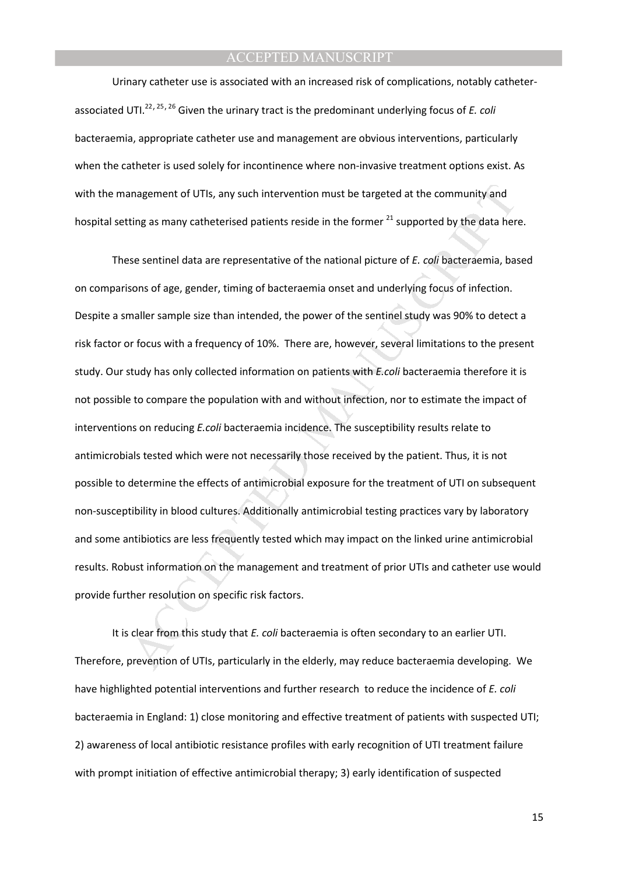Urinary catheter use is associated with an increased risk of complications, notably catheterassociated UTI.<sup>22</sup>,25,<sup>26</sup> Given the urinary tract is the predominant underlying focus of *E. coli* bacteraemia, appropriate catheter use and management are obvious interventions, particularly when the catheter is used solely for incontinence where non-invasive treatment options exist. As with the management of UTIs, any such intervention must be targeted at the community and hospital setting as many catheterised patients reside in the former  $^{21}$  supported by the data here.

anagement of UTIs, any such intervention must be targeted at the community and<br>ting as many catheterised patients reside in the former  $^{21}$  supported by the data her<br>se sentinel data are representative of the national p These sentinel data are representative of the national picture of *E. coli* bacteraemia, based on comparisons of age, gender, timing of bacteraemia onset and underlying focus of infection. Despite a smaller sample size than intended, the power of the sentinel study was 90% to detect a risk factor or focus with a frequency of 10%. There are, however, several limitations to the present study. Our study has only collected information on patients with *E.coli* bacteraemia therefore it is not possible to compare the population with and without infection, nor to estimate the impact of interventions on reducing *E.coli* bacteraemia incidence. The susceptibility results relate to antimicrobials tested which were not necessarily those received by the patient. Thus, it is not possible to determine the effects of antimicrobial exposure for the treatment of UTI on subsequent non-susceptibility in blood cultures. Additionally antimicrobial testing practices vary by laboratory and some antibiotics are less frequently tested which may impact on the linked urine antimicrobial results. Robust information on the management and treatment of prior UTIs and catheter use would provide further resolution on specific risk factors.

It is clear from this study that *E. coli* bacteraemia is often secondary to an earlier UTI. Therefore, prevention of UTIs, particularly in the elderly, may reduce bacteraemia developing. We have highlighted potential interventions and further research to reduce the incidence of *E. coli* bacteraemia in England: 1) close monitoring and effective treatment of patients with suspected UTI; 2) awareness of local antibiotic resistance profiles with early recognition of UTI treatment failure with prompt initiation of effective antimicrobial therapy; 3) early identification of suspected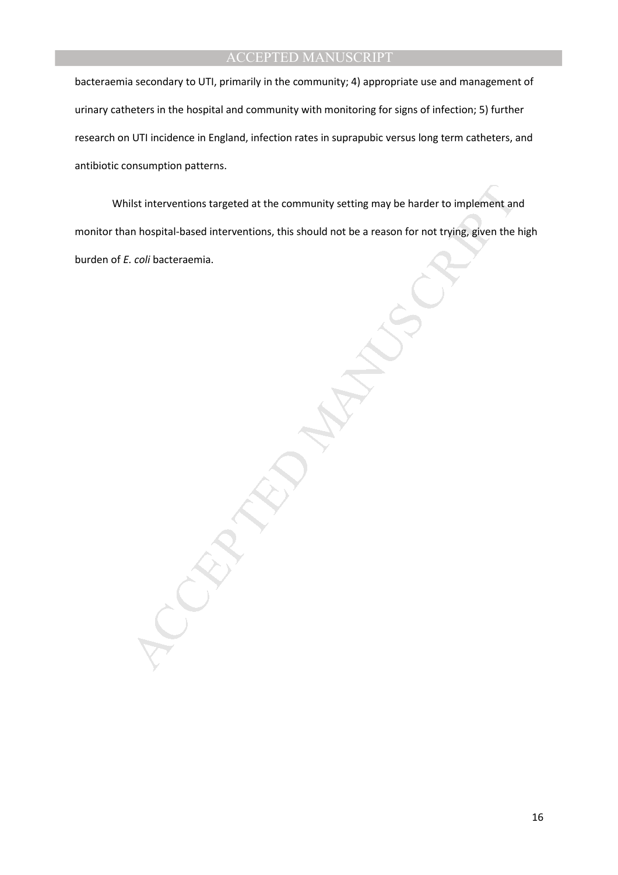bacteraemia secondary to UTI, primarily in the community; 4) appropriate use and management of urinary catheters in the hospital and community with monitoring for signs of infection; 5) further research on UTI incidence in England, infection rates in suprapubic versus long term catheters, and antibiotic consumption patterns.

ilst interventions targeted at the community setting may be harder to implement an<br>
In hospital-based interventions, this should not be a reason for not trying, given the<br>
Coli bacteraemia.<br>
Coli bacteraemia. Whilst interventions targeted at the community setting may be harder to implement and monitor than hospital-based interventions, this should not be a reason for not trying, given the high burden of *E. coli* bacteraemia.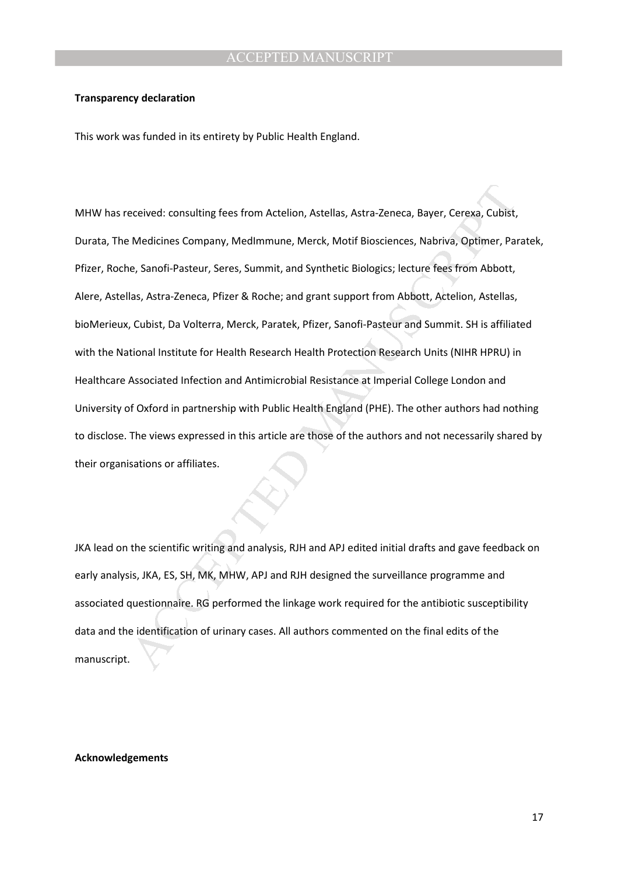#### **Transparency declaration**

This work was funded in its entirety by Public Health England.

eceived: consulting fees from Actelion, Astellas, Astra-Zeneca, Bayer, Cerexa, Cubist,<br>Medicines Company, MedImmune, Merck, Motif Biosciences, Nabriva, Optimer, Pai<br>e, Sanofl-Pasteur, Seres, Summit, and Synthetic Biologics MHW has received: consulting fees from Actelion, Astellas, Astra-Zeneca, Bayer, Cerexa, Cubist, Durata, The Medicines Company, MedImmune, Merck, Motif Biosciences, Nabriva, Optimer, Paratek, Pfizer, Roche, Sanofi-Pasteur, Seres, Summit, and Synthetic Biologics; lecture fees from Abbott, Alere, Astellas, Astra-Zeneca, Pfizer & Roche; and grant support from Abbott, Actelion, Astellas, bioMerieux, Cubist, Da Volterra, Merck, Paratek, Pfizer, Sanofi-Pasteur and Summit. SH is affiliated with the National Institute for Health Research Health Protection Research Units (NIHR HPRU) in Healthcare Associated Infection and Antimicrobial Resistance at Imperial College London and University of Oxford in partnership with Public Health England (PHE). The other authors had nothing to disclose. The views expressed in this article are those of the authors and not necessarily shared by their organisations or affiliates.

JKA lead on the scientific writing and analysis, RJH and APJ edited initial drafts and gave feedback on early analysis, JKA, ES, SH, MK, MHW, APJ and RJH designed the surveillance programme and associated questionnaire. RG performed the linkage work required for the antibiotic susceptibility data and the identification of urinary cases. All authors commented on the final edits of the manuscript.

#### **Acknowledgements**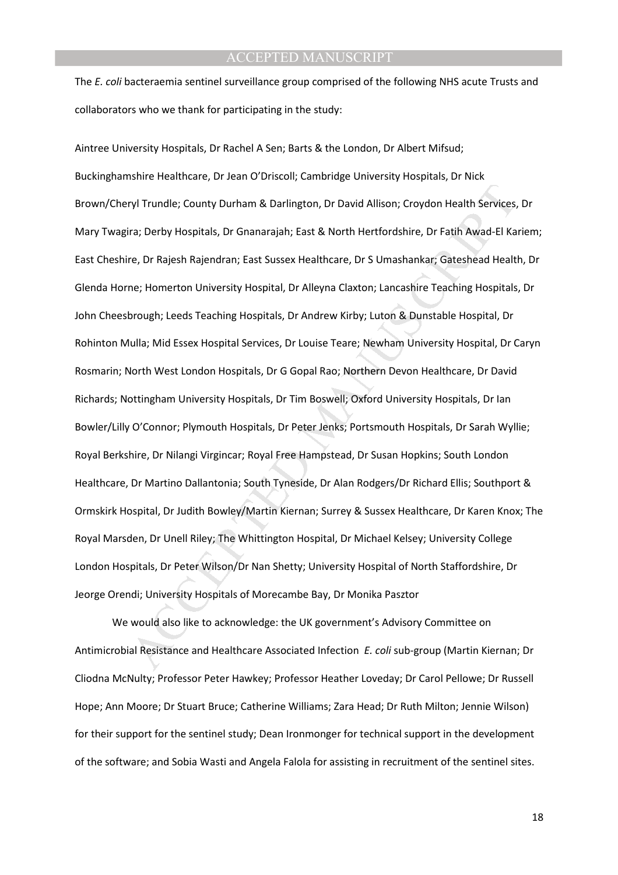The *E. coli* bacteraemia sentinel surveillance group comprised of the following NHS acute Trusts and collaborators who we thank for participating in the study:

ryl Trundle; County Durham & Darlington, Dr David Allison; Croydon Health Services,<br>ra; Derby Hospitals, Dr Gnanarajah; East & North Hertfordshire, Dr Fatih Awad-El Ka<br>e, Dr Rajesh Rajendran; East Sussex Healthcare, Dr S U Aintree University Hospitals, Dr Rachel A Sen; Barts & the London, Dr Albert Mifsud; Buckinghamshire Healthcare, Dr Jean O'Driscoll; Cambridge University Hospitals, Dr Nick Brown/Cheryl Trundle; County Durham & Darlington, Dr David Allison; Croydon Health Services, Dr Mary Twagira; Derby Hospitals, Dr Gnanarajah; East & North Hertfordshire, Dr Fatih Awad-El Kariem; East Cheshire, Dr Rajesh Rajendran; East Sussex Healthcare, Dr S Umashankar; Gateshead Health, Dr Glenda Horne; Homerton University Hospital, Dr Alleyna Claxton; Lancashire Teaching Hospitals, Dr John Cheesbrough; Leeds Teaching Hospitals, Dr Andrew Kirby; Luton & Dunstable Hospital, Dr Rohinton Mulla; Mid Essex Hospital Services, Dr Louise Teare; Newham University Hospital, Dr Caryn Rosmarin; North West London Hospitals, Dr G Gopal Rao; Northern Devon Healthcare, Dr David Richards; Nottingham University Hospitals, Dr Tim Boswell; Oxford University Hospitals, Dr Ian Bowler/Lilly O'Connor; Plymouth Hospitals, Dr Peter Jenks; Portsmouth Hospitals, Dr Sarah Wyllie; Royal Berkshire, Dr Nilangi Virgincar; Royal Free Hampstead, Dr Susan Hopkins; South London Healthcare, Dr Martino Dallantonia; South Tyneside, Dr Alan Rodgers/Dr Richard Ellis; Southport & Ormskirk Hospital, Dr Judith Bowley/Martin Kiernan; Surrey & Sussex Healthcare, Dr Karen Knox; The Royal Marsden, Dr Unell Riley; The Whittington Hospital, Dr Michael Kelsey; University College London Hospitals, Dr Peter Wilson/Dr Nan Shetty; University Hospital of North Staffordshire, Dr Jeorge Orendi; University Hospitals of Morecambe Bay, Dr Monika Pasztor

We would also like to acknowledge: the UK government's Advisory Committee on Antimicrobial Resistance and Healthcare Associated Infection *E. coli* sub-group (Martin Kiernan; Dr Cliodna McNulty; Professor Peter Hawkey; Professor Heather Loveday; Dr Carol Pellowe; Dr Russell Hope; Ann Moore; Dr Stuart Bruce; Catherine Williams; Zara Head; Dr Ruth Milton; Jennie Wilson) for their support for the sentinel study; Dean Ironmonger for technical support in the development of the software; and Sobia Wasti and Angela Falola for assisting in recruitment of the sentinel sites.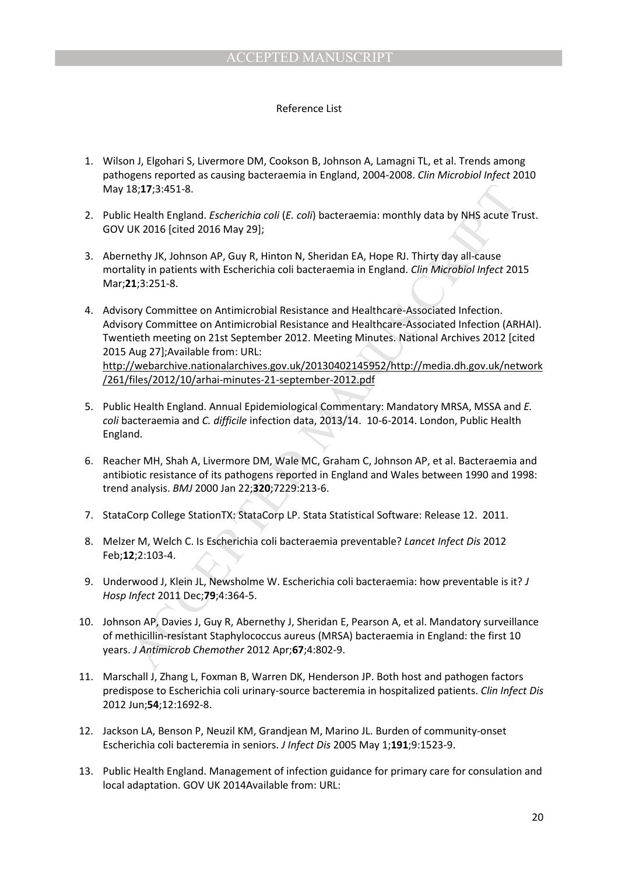### Reference List

- 1. Wilson J, Elgohari S, Livermore DM, Cookson B, Johnson A, Lamagni TL, et al. Trends among pathogens reported as causing bacteraemia in England, 2004-2008. *Clin Microbiol Infect* 2010 May 18;**17**;3:451-8.
- 2. Public Health England. *Escherichia coli* (*E. coli*) bacteraemia: monthly data by NHS acute Trust. GOV UK 2016 [cited 2016 May 29];
- 3. Abernethy JK, Johnson AP, Guy R, Hinton N, Sheridan EA, Hope RJ. Thirty day all-cause mortality in patients with Escherichia coli bacteraemia in England. *Clin Microbiol Infect* 2015 Mar;**21**;3:251-8.
- 18;17;3:451-8.<br>
I.e. Health England. *Escherichia coli* (*E. coli*) bacteraemia: monthly data by NHS acute 1<br>
UK 2016 [cited 2016 MP, Gy) R, Hinton N, Sheridan EA, Hope RJ. Thirty day all-Cause<br>
hethy JK, Johnson AP, Guy R 4. Advisory Committee on Antimicrobial Resistance and Healthcare-Associated Infection. Advisory Committee on Antimicrobial Resistance and Healthcare-Associated Infection (ARHAI). Twentieth meeting on 21st September 2012. Meeting Minutes. National Archives 2012 [cited 2015 Aug 27];Available from: URL: http://webarchive.nationalarchives.gov.uk/20130402145952/http://media.dh.gov.uk/network /261/files/2012/10/arhai-minutes-21-september-2012.pdf
- 5. Public Health England. Annual Epidemiological Commentary: Mandatory MRSA, MSSA and *E. coli* bacteraemia and *C. difficile* infection data, 2013/14. 10-6-2014. London, Public Health England.
- 6. Reacher MH, Shah A, Livermore DM, Wale MC, Graham C, Johnson AP, et al. Bacteraemia and antibiotic resistance of its pathogens reported in England and Wales between 1990 and 1998: trend analysis. *BMJ* 2000 Jan 22;**320**;7229:213-6.
- 7. StataCorp College StationTX: StataCorp LP. Stata Statistical Software: Release 12. 2011.
- 8. Melzer M, Welch C. Is Escherichia coli bacteraemia preventable? *Lancet Infect Dis* 2012 Feb;**12**;2:103-4.
- 9. Underwood J, Klein JL, Newsholme W. Escherichia coli bacteraemia: how preventable is it? *J Hosp Infect* 2011 Dec;**79**;4:364-5.
- 10. Johnson AP, Davies J, Guy R, Abernethy J, Sheridan E, Pearson A, et al. Mandatory surveillance of methicillin-resistant Staphylococcus aureus (MRSA) bacteraemia in England: the first 10 years. *J Antimicrob Chemother* 2012 Apr;**67**;4:802-9.
- 11. Marschall J, Zhang L, Foxman B, Warren DK, Henderson JP. Both host and pathogen factors predispose to Escherichia coli urinary-source bacteremia in hospitalized patients. *Clin Infect Dis* 2012 Jun;**54**;12:1692-8.
- 12. Jackson LA, Benson P, Neuzil KM, Grandjean M, Marino JL. Burden of community-onset Escherichia coli bacteremia in seniors. *J Infect Dis* 2005 May 1;**191**;9:1523-9.
- 13. Public Health England. Management of infection guidance for primary care for consulation and local adaptation. GOV UK 2014Available from: URL: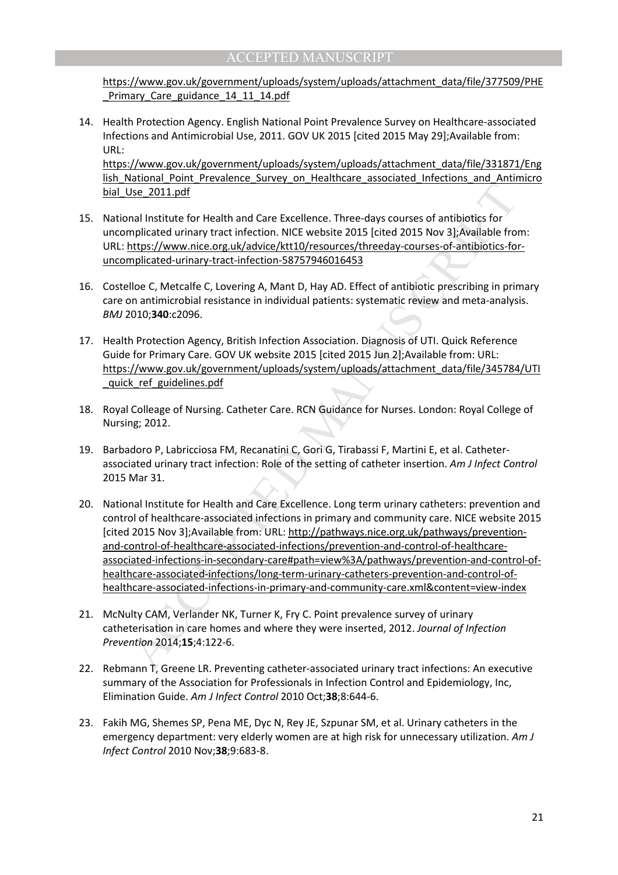https://www.gov.uk/government/uploads/system/uploads/attachment\_data/file/377509/PHE Primary Care guidance 14 11 14.pdf

 14. Health Protection Agency. English National Point Prevalence Survey on Healthcare-associated Infections and Antimicrobial Use, 2011. GOV UK 2015 [cited 2015 May 29];Available from: URL:

https://www.gov.uk/government/uploads/system/uploads/attachment\_data/file/331871/Eng lish National Point Prevalence Survey on Healthcare associated Infections and Antimicro bial\_Use\_2011.pdf

- 15. National Institute for Health and Care Excellence. Three-days courses of antibiotics for uncomplicated urinary tract infection. NICE website 2015 [cited 2015 Nov 3];Available from: URL: https://www.nice.org.uk/advice/ktt10/resources/threeday-courses-of-antibiotics-foruncomplicated-urinary-tract-infection-58757946016453
- 16. Costelloe C, Metcalfe C, Lovering A, Mant D, Hay AD. Effect of antibiotic prescribing in primary care on antimicrobial resistance in individual patients: systematic review and meta-analysis. *BMJ* 2010;**340**:c2096.
- 17. Health Protection Agency, British Infection Association. Diagnosis of UTI. Quick Reference Guide for Primary Care. GOV UK website 2015 [cited 2015 Jun 2];Available from: URL: https://www.gov.uk/government/uploads/system/uploads/attachment\_data/file/345784/UTI quick ref guidelines.pdf
- 18. Royal Colleage of Nursing. Catheter Care. RCN Guidance for Nurses. London: Royal College of Nursing; 2012.
- 19. Barbadoro P, Labricciosa FM, Recanatini C, Gori G, Tirabassi F, Martini E, et al. Catheterassociated urinary tract infection: Role of the setting of catheter insertion. *Am J Infect Control* 2015 Mar 31.
- <u>Jse 2011.pdf</u><br>
Internal Institute for Health and Care Excellence. Three-days courses of antibiotics for<br>
mplicated urinary tract infection. NICE website 2015 [sted 2015 Nov 3];Available fro<br>
Intifus://www.nice.org.uk/advi 20. National Institute for Health and Care Excellence. Long term urinary catheters: prevention and control of healthcare-associated infections in primary and community care. NICE website 2015 [cited 2015 Nov 3];Available from: URL: http://pathways.nice.org.uk/pathways/preventionand-control-of-healthcare-associated-infections/prevention-and-control-of-healthcareassociated-infections-in-secondary-care#path=view%3A/pathways/prevention-and-control-ofhealthcare-associated-infections/long-term-urinary-catheters-prevention-and-control-ofhealthcare-associated-infections-in-primary-and-community-care.xml&content=view-index
- 21. McNulty CAM, Verlander NK, Turner K, Fry C. Point prevalence survey of urinary catheterisation in care homes and where they were inserted, 2012. *Journal of Infection Prevention* 2014;**15**;4:122-6.
- 22. Rebmann T, Greene LR. Preventing catheter-associated urinary tract infections: An executive summary of the Association for Professionals in Infection Control and Epidemiology, Inc, Elimination Guide. *Am J Infect Control* 2010 Oct;**38**;8:644-6.
- 23. Fakih MG, Shemes SP, Pena ME, Dyc N, Rey JE, Szpunar SM, et al. Urinary catheters in the emergency department: very elderly women are at high risk for unnecessary utilization. *Am J Infect Control* 2010 Nov;**38**;9:683-8.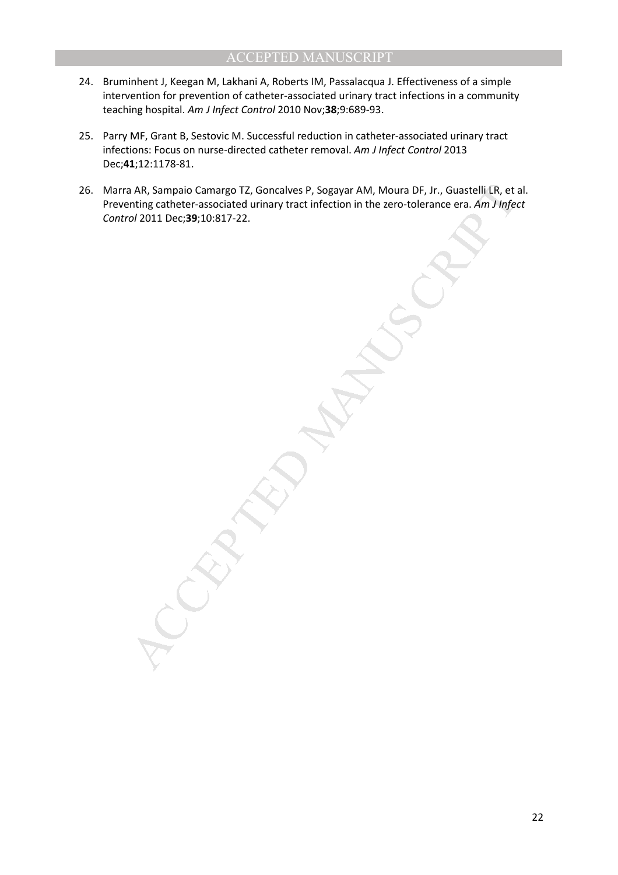- 24. Bruminhent J, Keegan M, Lakhani A, Roberts IM, Passalacqua J. Effectiveness of a simple intervention for prevention of catheter-associated urinary tract infections in a community teaching hospital. *Am J Infect Control* 2010 Nov;**38**;9:689-93.
- 25. Parry MF, Grant B, Sestovic M. Successful reduction in catheter-associated urinary tract infections: Focus on nurse-directed catheter removal. *Am J Infect Control* 2013 Dec;**41**;12:1178-81.
- 26. Marra AR, Sampaio Camargo TZ, Goncalves P, Sogayar AM, Moura DF, Jr., Guastelli LR, et al. Preventing catheter-associated urinary tract infection in the zero-tolerance era. *Am J Infect Control* 2011 Dec;**39**;10:817-22.

AR, Sampaio Camargo TZ, Goncalves P, Sogayar AM, Moura DF, Jr., Guastelli LR, et a<br>ntring catheter-associated uninary tract infection in the zero-tolerance era. Am Jinfer<br>of 2011 Dec;39;10:817-22.<br>And a control of 2011 Dec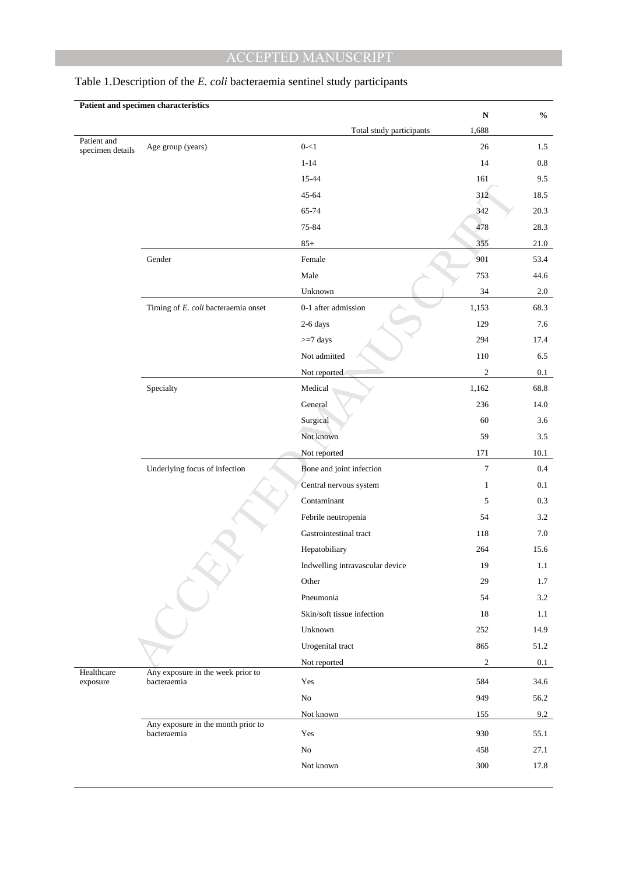|                                 | Patient and specimen characteristics              |                                 | ${\bf N}$      | $\mathbf{0}_{\mathbf{0}}^{\prime}$ |
|---------------------------------|---------------------------------------------------|---------------------------------|----------------|------------------------------------|
|                                 |                                                   | Total study participants        | 1,688          |                                    |
| Patient and<br>specimen details | Age group (years)                                 | $0 - 1$                         | $26\,$         | 1.5                                |
|                                 |                                                   | $1 - 14$                        | 14             | $\rm 0.8$                          |
|                                 |                                                   | 15-44                           | 161            | 9.5                                |
|                                 |                                                   | 45-64                           | 312            | 18.5                               |
|                                 |                                                   | 65-74                           | 342            | 20.3                               |
|                                 |                                                   | 75-84                           | 478            | 28.3                               |
|                                 |                                                   | $85+$                           | 355            | 21.0                               |
|                                 | Gender                                            | Female                          | 901            | 53.4                               |
|                                 |                                                   | Male                            | 753            | 44.6                               |
|                                 |                                                   | Unknown                         | 34             | $2.0\,$                            |
|                                 | Timing of E. coli bacteraemia onset               | 0-1 after admission             | 1,153          | 68.3                               |
|                                 |                                                   | 2-6 days                        | 129            | 7.6                                |
|                                 |                                                   | $>=7$ days                      | 294            | 17.4                               |
|                                 |                                                   | Not admitted                    | 110            | 6.5                                |
|                                 |                                                   | Not reported                    | $\mathfrak{2}$ | 0.1                                |
|                                 | Specialty                                         | Medical                         | 1,162          | 68.8                               |
|                                 |                                                   | General                         | 236            | 14.0                               |
|                                 |                                                   | Surgical                        | 60             | 3.6                                |
|                                 |                                                   | Not known                       | 59             | $3.5\,$                            |
|                                 |                                                   | Not reported                    | 171            | $10.1\,$                           |
|                                 | Underlying focus of infection                     | Bone and joint infection        | 7              | 0.4                                |
|                                 |                                                   | Central nervous system          | $\mathbf{1}$   | 0.1                                |
|                                 |                                                   | Contaminant                     | 5              | 0.3                                |
|                                 |                                                   | Febrile neutropenia             | 54             | $3.2\,$                            |
|                                 |                                                   | Gastrointestinal tract          | 118            | 7.0                                |
|                                 |                                                   | Hepatobiliary                   | 264            | 15.6                               |
|                                 |                                                   | Indwelling intravascular device | 19             | 1.1                                |
|                                 |                                                   | Other                           | 29             | 1.7                                |
|                                 |                                                   | Pneumonia                       | 54             | $3.2\,$                            |
|                                 |                                                   | Skin/soft tissue infection      | 18             | 1.1                                |
|                                 |                                                   | Unknown                         | 252            | 14.9                               |
|                                 |                                                   | Urogenital tract                | 865            | 51.2                               |
|                                 |                                                   | Not reported                    | $\mathfrak{2}$ | 0.1                                |
| Healthcare<br>exposure          | Any exposure in the week prior to<br>bacteraemia  | Yes                             | 584            | 34.6                               |
|                                 |                                                   | ${\rm No}$                      | 949            | 56.2                               |
|                                 |                                                   | Not known                       | 155            | 9.2                                |
|                                 | Any exposure in the month prior to<br>bacteraemia | Yes                             | 930            | 55.1                               |
|                                 |                                                   | $\rm No$                        | 458            | 27.1                               |
|                                 |                                                   | Not known                       | 300            | 17.8                               |
|                                 |                                                   |                                 |                |                                    |

# Table 1.Description of the *E. coli* bacteraemia sentinel study participants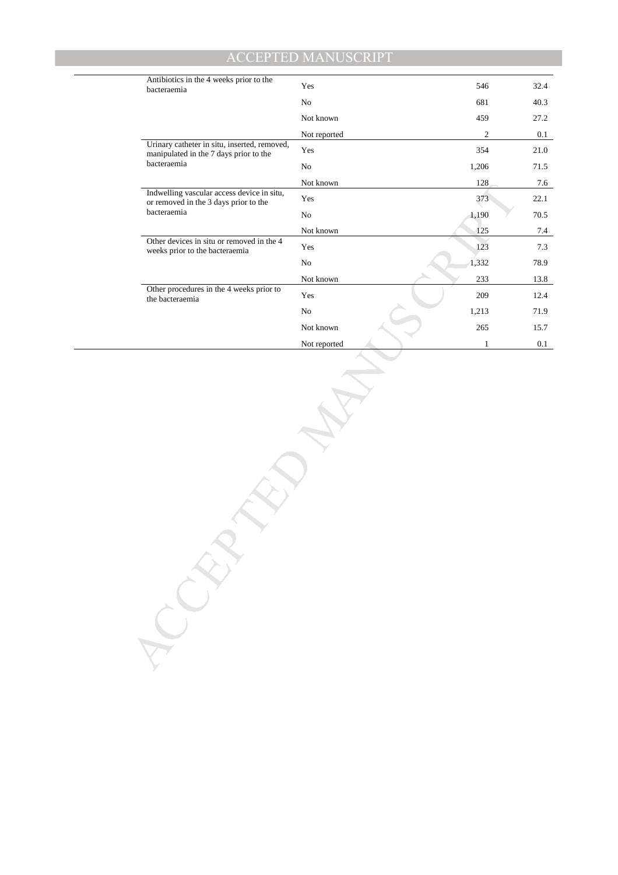| Antibiotics in the 4 weeks prior to the<br>bacteraemia                                 | Yes          | 546          | 32.4     |
|----------------------------------------------------------------------------------------|--------------|--------------|----------|
|                                                                                        | $\rm No$     | 681          | 40.3     |
|                                                                                        | Not known    | 459          | 27.2     |
|                                                                                        | Not reported | $\sqrt{2}$   | $0.1\,$  |
| Urinary catheter in situ, inserted, removed,<br>manipulated in the 7 days prior to the | Yes          | 354          | $21.0\,$ |
| bacteraemia                                                                            | $\rm No$     | 1,206        | 71.5     |
|                                                                                        | Not known    | 128          | 7.6      |
| Indwelling vascular access device in situ,<br>or removed in the 3 days prior to the    | Yes          | 373          | 22.1     |
| bacteraemia                                                                            | $\rm No$     | 1,190        | 70.5     |
|                                                                                        | Not known    | 125          | 7.4      |
| Other devices in situ or removed in the 4<br>weeks prior to the bacteraemia            | Yes          | 123          | 7.3      |
|                                                                                        | $_{\rm No}$  | 1,332        | 78.9     |
|                                                                                        | Not known    | 233          | 13.8     |
| Other procedures in the 4 weeks prior to<br>the bacteraemia                            | Yes          | 209          | 12.4     |
|                                                                                        | No           | 1,213        | 71.9     |
|                                                                                        | Not known    | $265\,$      | 15.7     |
|                                                                                        | Not reported | $\mathbf{1}$ | $0.1\,$  |
|                                                                                        |              |              |          |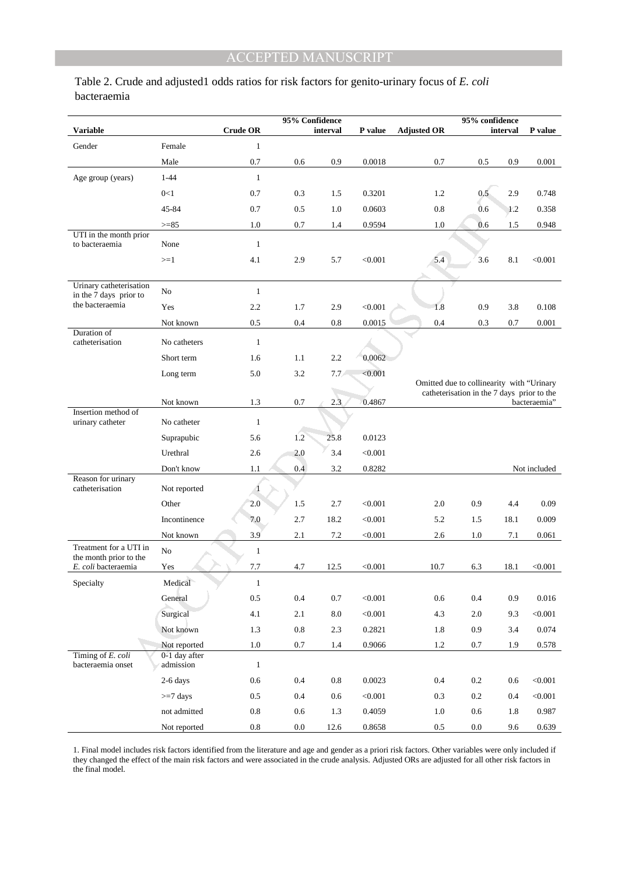Table 2. Crude and adjusted1 odds ratios for risk factors for genito-urinary focus of *E. coli* bacteraemia

|                                                   |                            | 95% Confidence  |           |            |              |                    | 95% confidence                                                                          |          |              |
|---------------------------------------------------|----------------------------|-----------------|-----------|------------|--------------|--------------------|-----------------------------------------------------------------------------------------|----------|--------------|
| <b>Variable</b>                                   |                            | <b>Crude OR</b> |           | interval   | P value      | <b>Adjusted OR</b> |                                                                                         | interval | P value      |
| Gender                                            | Female                     | $\mathbf{1}$    |           |            |              |                    |                                                                                         |          |              |
|                                                   | Male                       | 0.7             | 0.6       | 0.9        | 0.0018       | 0.7                | 0.5                                                                                     | 0.9      | 0.001        |
| Age group (years)                                 | $1 - 44$                   | $\mathbf{1}$    |           |            |              |                    |                                                                                         |          |              |
|                                                   | 0<1                        | 0.7             | 0.3       | 1.5        | 0.3201       | 1.2                | 0.5                                                                                     | 2.9      | 0.748        |
|                                                   | 45-84                      | 0.7             | 0.5       | 1.0        | 0.0603       | 0.8                | 0.6                                                                                     | 1.2      | 0.358        |
| UTI in the month prior                            | $>= 85$                    | 1.0             | 0.7       | 1.4        | 0.9594       | 1.0                | 0.6                                                                                     | 1.5      | 0.948        |
| to bacteraemia                                    | None                       | $\mathbf{1}$    |           |            |              |                    |                                                                                         |          |              |
|                                                   | $>=1$                      | 4.1             | 2.9       | 5.7        | < 0.001      | 5.4                | 3.6                                                                                     | 8.1      | < 0.001      |
|                                                   |                            |                 |           |            |              |                    |                                                                                         |          |              |
| Urinary catheterisation<br>in the 7 days prior to | No                         | $\mathbf{1}$    |           |            |              |                    |                                                                                         |          |              |
| the bacteraemia                                   | Yes                        | 2.2             | 1.7       | 2.9        | < 0.001      | 1.8                | 0.9                                                                                     | 3.8      | 0.108        |
|                                                   | Not known                  | 0.5             | 0.4       | 0.8        | 0.0015       | 0.4                | 0.3                                                                                     | 0.7      | 0.001        |
| Duration of<br>catheterisation                    | No catheters               | $\mathbf{1}$    |           |            |              |                    |                                                                                         |          |              |
|                                                   | Short term                 | 1.6             | 1.1       | 2.2        | 0.0062       |                    |                                                                                         |          |              |
|                                                   | Long term                  | 5.0             | 3.2       | 7.7        | < 0.001      |                    |                                                                                         |          |              |
|                                                   |                            |                 |           |            |              |                    | Omitted due to collinearity with "Urinary<br>catheterisation in the 7 days prior to the |          |              |
|                                                   | Not known                  | 1.3             | 0.7       | 2.3        | 0.4867       |                    |                                                                                         |          | bacteraemia" |
| Insertion method of<br>urinary catheter           | No catheter                | $\mathbf{1}$    |           |            |              |                    |                                                                                         |          |              |
|                                                   | Suprapubic                 | 5.6             | 1.2       | 25.8       | 0.0123       |                    |                                                                                         |          |              |
|                                                   | Urethral                   | 2.6             | 2.0       | 3.4        | < 0.001      |                    |                                                                                         |          |              |
|                                                   | Don't know                 | 1.1             | 0.4       | 3.2        | 0.8282       |                    |                                                                                         |          | Not included |
| Reason for urinary<br>catheterisation             | Not reported               | -1              |           |            |              |                    |                                                                                         |          |              |
|                                                   | Other                      | 2.0             | 1.5       | 2.7        | < 0.001      | 2.0                | 0.9                                                                                     | 4.4      | 0.09         |
|                                                   | Incontinence               | 7.0             | 2.7       | 18.2       | < 0.001      | 5.2                | 1.5                                                                                     | 18.1     | 0.009        |
|                                                   | Not known                  | 3.9             | 2.1       | 7.2        | < 0.001      | 2.6                | 1.0                                                                                     | 7.1      | 0.061        |
| Treatment for a UTI in<br>the month prior to the  | No                         | $\mathbf{1}$    |           |            |              |                    |                                                                                         |          |              |
| E. coli bacteraemia                               | Yes                        | 7.7             | 4.7       | 12.5       | < 0.001      | 10.7               | 6.3                                                                                     | 18.1     | < 0.001      |
| Specialty                                         | Medical                    | $\mathbf{1}$    |           |            |              |                    |                                                                                         |          |              |
|                                                   | General                    | 0.5             | $0.4\,$   | $0.7\,$    | < 0.001      | $0.6\,$            | $0.4\,$                                                                                 | 0.9      | 0.016        |
|                                                   | Surgical                   | 4.1             | 2.1       | $\ \, 8.0$ | $<\!\!0.001$ | 4.3                | $2.0\,$                                                                                 | 9.3      | $<\!\!0.001$ |
|                                                   | Not known                  | $1.3\,$         | $\rm 0.8$ | 2.3        | 0.2821       | 1.8                | $0.9\,$                                                                                 | 3.4      | 0.074        |
|                                                   | Not reported               | 1.0             | $0.7\,$   | 1.4        | 0.9066       | 1.2                | $0.7\,$                                                                                 | 1.9      | 0.578        |
| Timing of E. coli<br>bacteraemia onset            | 0-1 day after<br>admission | $\mathbf{1}$    |           |            |              |                    |                                                                                         |          |              |
|                                                   | 2-6 days                   | 0.6             | 0.4       | $0.8\,$    | 0.0023       | 0.4                | 0.2                                                                                     | 0.6      | < 0.001      |
|                                                   | $>=7$ days                 | 0.5             | 0.4       | 0.6        | < 0.001      | 0.3                | $0.2\,$                                                                                 | 0.4      | < 0.001      |
|                                                   | not admitted               | $\rm 0.8$       | 0.6       | 1.3        | 0.4059       | 1.0                | $0.6\,$                                                                                 | 1.8      | 0.987        |
|                                                   | Not reported               | $\rm 0.8$       | $0.0\,$   | 12.6       | 0.8658       | $0.5\,$            | $0.0\,$                                                                                 | 9.6      | 0.639        |

1. Final model includes risk factors identified from the literature and age and gender as a priori risk factors. Other variables were only included if they changed the effect of the main risk factors and were associated in the crude analysis. Adjusted ORs are adjusted for all other risk factors in the final model.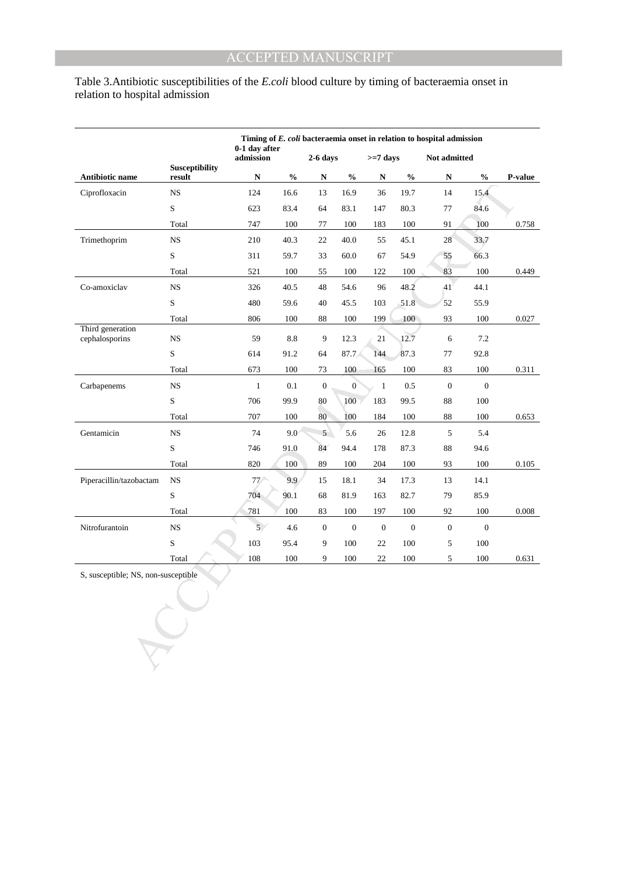# Table 3.Antibiotic susceptibilities of the *E.coli* blood culture by timing of bacteraemia onset in relation to hospital admission

|                                     |                       | Timing of E. coli bacteraemia onset in relation to hospital admission<br>0-1 day after |               |                  |                                    |                |                  |                  |                            |         |
|-------------------------------------|-----------------------|----------------------------------------------------------------------------------------|---------------|------------------|------------------------------------|----------------|------------------|------------------|----------------------------|---------|
|                                     | <b>Susceptibility</b> | admission                                                                              |               | $2-6$ days       |                                    | $>=7$ days     |                  | Not admitted     |                            |         |
| <b>Antibiotic name</b>              | result                | ${\bf N}$                                                                              | $\frac{1}{2}$ | N                | $\mathbf{0}_{\mathbf{0}}^{\prime}$ | ${\bf N}$      | $\frac{0}{0}$    | N                | $\mathcal{V}_{\mathbf{0}}$ | P-value |
| Ciprofloxacin                       | $_{\rm NS}$           | 124                                                                                    | 16.6          | 13               | 16.9                               | 36             | 19.7             | 14               | 15.4                       |         |
|                                     | S                     | 623                                                                                    | 83.4          | 64               | 83.1                               | 147            | 80.3             | 77               | 84.6                       |         |
|                                     | Total                 | 747                                                                                    | 100           | 77               | 100                                | 183            | 100              | 91               | 100                        | 0.758   |
| Trimethoprim                        | <b>NS</b>             | 210                                                                                    | 40.3          | 22               | 40.0                               | 55             | 45.1             | 28               | 33.7                       |         |
|                                     | $\mathbf S$           | 311                                                                                    | 59.7          | 33               | 60.0                               | 67             | 54.9             | 55               | 66.3                       |         |
|                                     | Total                 | 521                                                                                    | 100           | 55               | 100                                | 122            | 100              | 83               | 100                        | 0.449   |
| Co-amoxiclav                        | $_{\rm NS}$           | 326                                                                                    | 40.5          | 48               | 54.6                               | 96             | 48.2             | $ 41\rangle$     | 44.1                       |         |
|                                     | $\mathbf S$           | 480                                                                                    | 59.6          | 40               | 45.5                               | 103            | 51.8             | 52               | 55.9                       |         |
|                                     | Total                 | 806                                                                                    | 100           | 88               | 100                                | 199            | 100              | 93               | 100                        | 0.027   |
| Third generation<br>cephalosporins  | $_{\rm NS}$           | 59                                                                                     | 8.8           | 9                | 12.3                               | 21             | 12.7             | $6\,$            | 7.2                        |         |
|                                     | S                     | 614                                                                                    | 91.2          | 64               | 87.7                               | 144            | 87.3             | 77               | 92.8                       |         |
|                                     | Total                 | 673                                                                                    | 100           | 73               | 100                                | 165            | 100              | 83               | 100                        | 0.311   |
| Carbapenems                         | NS                    | $\mathbf{1}$                                                                           | 0.1           | $\boldsymbol{0}$ | $\overline{0}$                     | $\mathbf{1}$   | 0.5              | $\boldsymbol{0}$ | $\mathbf{0}$               |         |
|                                     | S                     | 706                                                                                    | 99.9          | 80               | 100                                | 183            | 99.5             | 88               | 100                        |         |
|                                     | Total                 | 707                                                                                    | 100           | 80               | 100                                | 184            | 100              | 88               | 100                        | 0.653   |
| Gentamicin                          | $_{\rm NS}$           | 74                                                                                     | 9.0           | $5^{\circ}$      | 5.6                                | 26             | 12.8             | 5                | 5.4                        |         |
|                                     | S                     | 746                                                                                    | 91.0          | 84               | 94.4                               | 178            | 87.3             | 88               | 94.6                       |         |
|                                     | Total                 | 820                                                                                    | 100           | 89               | 100                                | 204            | 100              | 93               | 100                        | 0.105   |
| Piperacillin/tazobactam             | <b>NS</b>             | $77 -$                                                                                 | 9.9           | 15               | 18.1                               | 34             | 17.3             | 13               | 14.1                       |         |
|                                     | S                     | 704                                                                                    | 90.1          | 68               | 81.9                               | 163            | 82.7             | 79               | 85.9                       |         |
|                                     | Total                 | 781                                                                                    | 100           | 83               | 100                                | 197            | 100              | 92               | 100                        | 0.008   |
| Nitrofurantoin                      | <b>NS</b>             | 5 <sup>7</sup>                                                                         | 4.6           | $\overline{0}$   | $\mathbf{0}$                       | $\overline{0}$ | $\boldsymbol{0}$ | $\boldsymbol{0}$ | $\boldsymbol{0}$           |         |
|                                     | S                     | 103                                                                                    | 95.4          | 9                | 100                                | 22             | 100              | $\sqrt{5}$       | 100                        |         |
|                                     | Total                 | 108                                                                                    | 100           | 9                | 100                                | 22             | 100              | 5                | 100                        | 0.631   |
| S, susceptible; NS, non-susceptible |                       |                                                                                        |               |                  |                                    |                |                  |                  |                            |         |
|                                     |                       |                                                                                        |               |                  |                                    |                |                  |                  |                            |         |
|                                     |                       |                                                                                        |               |                  |                                    |                |                  |                  |                            |         |
|                                     |                       |                                                                                        |               |                  |                                    |                |                  |                  |                            |         |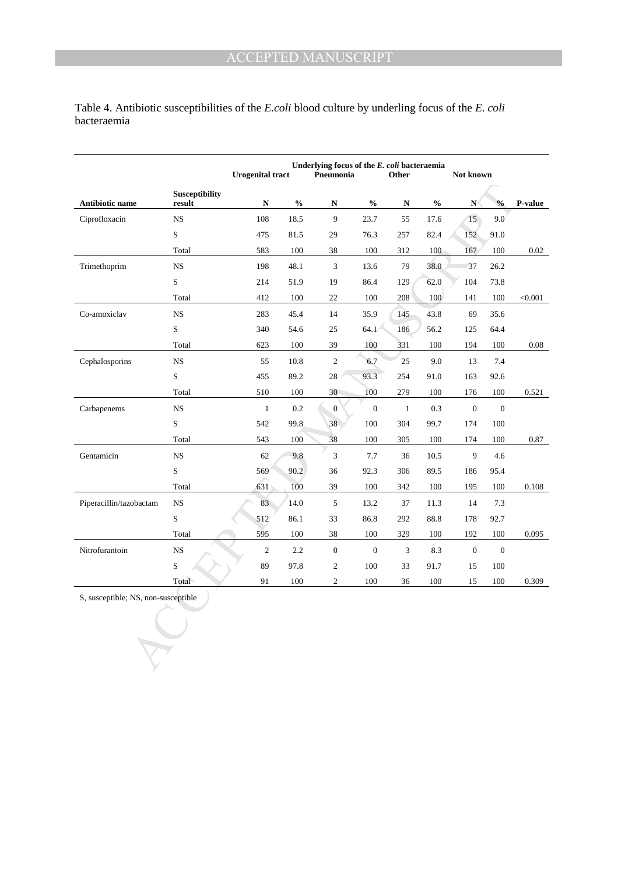Table 4. Antibiotic susceptibilities of the *E.coli* blood culture by underling focus of the *E. coli*  bacteraemia

|                                     |                | Underlying focus of the E. coli bacteraemia<br><b>Urogenital tract</b><br>Pneumonia<br>Other |                          |                  |                                    |                | Not known                          |                  |                  |                                        |
|-------------------------------------|----------------|----------------------------------------------------------------------------------------------|--------------------------|------------------|------------------------------------|----------------|------------------------------------|------------------|------------------|----------------------------------------|
| Antibiotic name                     | Susceptibility |                                                                                              |                          |                  | $\mathbf{0}_{\mathbf{0}}^{\prime}$ |                | $\mathbf{0}_{\mathbf{0}}^{\prime}$ |                  |                  |                                        |
|                                     | result         | N                                                                                            | $\mathbf{O}_\mathbf{0}'$ | N<br>9           |                                    | N              |                                    | N<br>15          | $\frac{0}{0}$    | $\boldsymbol{\mathrm{P}\text{-}value}$ |
| Ciprofloxacin                       | <b>NS</b>      | 108                                                                                          | 18.5                     |                  | 23.7                               | 55             | 17.6                               |                  | 9.0              |                                        |
|                                     | $\mathbf S$    | 475                                                                                          | 81.5                     | 29               | 76.3                               | 257            | 82.4                               | 152              | 91.0             |                                        |
|                                     | Total          | 583                                                                                          | 100                      | 38               | $100\,$                            | 312            | 100                                | 167              | 100              | 0.02                                   |
| Trimethoprim                        | $_{\rm NS}$    | 198                                                                                          | 48.1                     | $\mathfrak{Z}$   | 13.6                               | 79             | 38.0                               | 37               | 26.2             |                                        |
|                                     | $\mathbf S$    | 214                                                                                          | 51.9                     | 19               | 86.4                               | 129            | 62.0                               | 104              | 73.8             |                                        |
|                                     | Total          | 412                                                                                          | 100                      | 22               | 100                                | 208            | 100                                | 141              | 100              | < 0.001                                |
| Co-amoxiclav                        | $_{\rm NS}$    | 283                                                                                          | 45.4                     | 14               | 35.9                               | 145            | 43.8                               | 69               | 35.6             |                                        |
|                                     | ${\bf S}$      | 340                                                                                          | 54.6                     | 25               | 64.1                               | 186            | 56.2                               | 125              | 64.4             |                                        |
|                                     | Total          | 623                                                                                          | 100                      | 39               | 100                                | 331            | 100                                | 194              | 100              | 0.08                                   |
| Cephalosporins                      | $_{\rm NS}$    | 55                                                                                           | 10.8                     | $\mathfrak{2}$   | 6.7                                | 25             | 9.0                                | 13               | 7.4              |                                        |
|                                     | $\mathbf S$    | 455                                                                                          | 89.2                     | 28               | 93.3                               | 254            | 91.0                               | 163              | 92.6             |                                        |
|                                     | Total          | 510                                                                                          | 100                      | 30               | 100                                | 279            | 100                                | 176              | 100              | 0.521                                  |
| Carbapenems                         | <b>NS</b>      | $\mathbf{1}$                                                                                 | $0.2\,$                  | $\boldsymbol{0}$ | $\boldsymbol{0}$                   | $\mathbf{1}$   | 0.3                                | $\mathbf{0}$     | $\boldsymbol{0}$ |                                        |
|                                     | S              | 542                                                                                          | 99.8                     | 38               | 100                                | 304            | 99.7                               | 174              | 100              |                                        |
|                                     | Total          | 543                                                                                          | 100                      | 38               | 100                                | 305            | 100                                | 174              | 100              | 0.87                                   |
| Gentamicin                          | NS             | 62                                                                                           | 9.8                      | 3                | 7.7                                | 36             | 10.5                               | 9                | 4.6              |                                        |
|                                     | ${\bf S}$      | 569                                                                                          | 90.2                     | 36               | 92.3                               | 306            | 89.5                               | 186              | 95.4             |                                        |
|                                     | Total          | 631                                                                                          | 100                      | 39               | 100                                | 342            | 100                                | 195              | 100              | 0.108                                  |
| Piperacillin/tazobactam             | $_{\rm NS}$    | 83                                                                                           | 14.0                     | 5                | 13.2                               | 37             | 11.3                               | 14               | 7.3              |                                        |
|                                     | S              | 512                                                                                          | 86.1                     | 33               | 86.8                               | 292            | 88.8                               | 178              | 92.7             |                                        |
|                                     | Total          | 595                                                                                          | 100                      | 38               | 100                                | 329            | 100                                | 192              | 100              | 0.095                                  |
| Nitrofurantoin                      | $_{\rm NS}$    | $\sqrt{2}$                                                                                   | 2.2                      | $\mathbf{0}$     | $\boldsymbol{0}$                   | $\mathfrak{Z}$ | 8.3                                | $\boldsymbol{0}$ | $\mathbf{0}$     |                                        |
|                                     | $\mathbf S$    | 89                                                                                           | 97.8                     | $\sqrt{2}$       | 100                                | 33             | 91.7                               | 15               | 100              |                                        |
|                                     | Total          | 91                                                                                           | 100                      | $\sqrt{2}$       | 100                                | 36             | 100                                | 15               | 100              | 0.309                                  |
| S, susceptible; NS, non-susceptible |                |                                                                                              |                          |                  |                                    |                |                                    |                  |                  |                                        |
|                                     |                |                                                                                              |                          |                  |                                    |                |                                    |                  |                  |                                        |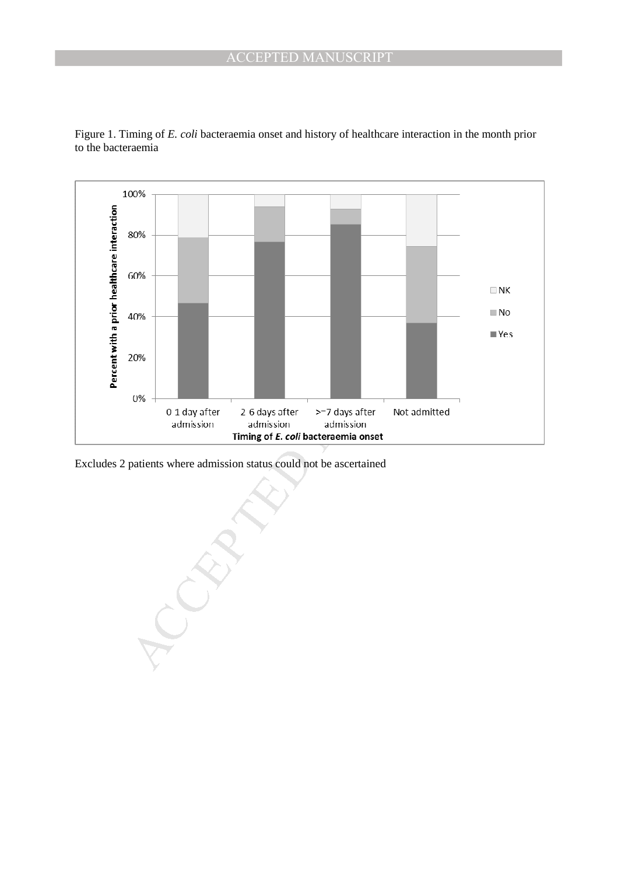

Figure 1. Timing of *E. coli* bacteraemia onset and history of healthcare interaction in the month prior to the bacteraemia

Excludes 2 patients where admission status could not be ascertained